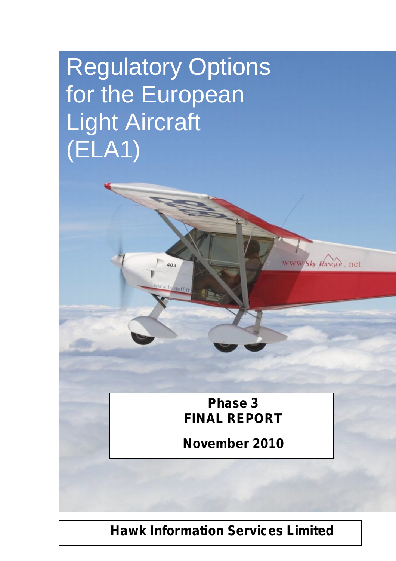# Regulatory Options for the European Light Aircraft (ELA1)

403

**Phase 3 FINAL REPORT**

www/Sky RANGER, net

**November 2010**

**Hawk Information Services Limited**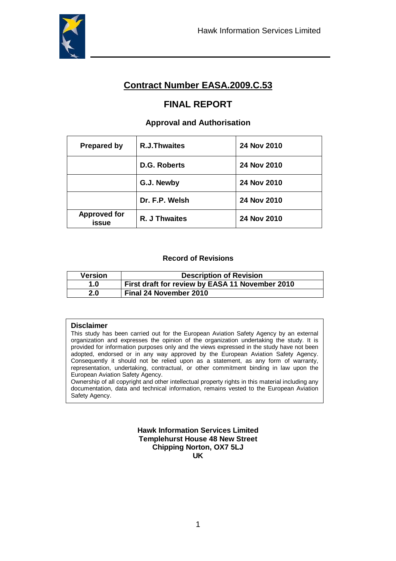

# **Contract Number EASA.2009.C.53**

# **FINAL REPORT**

#### **Approval and Authorisation**

| <b>Prepared by</b>           | <b>R.J.Thwaites</b> | 24 Nov 2010 |
|------------------------------|---------------------|-------------|
|                              | D.G. Roberts        | 24 Nov 2010 |
|                              | G.J. Newby          | 24 Nov 2010 |
|                              | Dr. F.P. Welsh      | 24 Nov 2010 |
| <b>Approved for</b><br>issue | R. J Thwaites       | 24 Nov 2010 |

#### **Record of Revisions**

| <b>Version</b> | <b>Description of Revision</b>                  |
|----------------|-------------------------------------------------|
| 1.0            | First draft for review by EASA 11 November 2010 |
| 2.0            | Final 24 November 2010                          |

#### **Disclaimer**

This study has been carried out for the European Aviation Safety Agency by an external organization and expresses the opinion of the organization undertaking the study. It is provided for information purposes only and the views expressed in the study have not been adopted, endorsed or in any way approved by the European Aviation Safety Agency. Consequently it should not be relied upon as a statement, as any form of warranty, representation, undertaking, contractual, or other commitment binding in law upon the European Aviation Safety Agency.

Ownership of all copyright and other intellectual property rights in this material including any documentation, data and technical information, remains vested to the European Aviation Safety Agency.

> **Hawk Information Services Limited Templehurst House 48 New Street Chipping Norton, OX7 5LJ UK**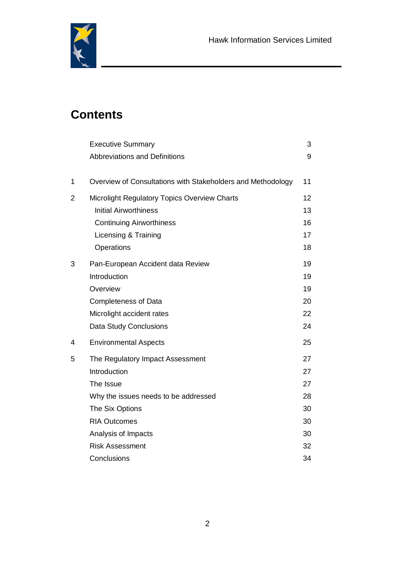

# **Contents**

|   | <b>Executive Summary</b>                                    | 3  |
|---|-------------------------------------------------------------|----|
|   | <b>Abbreviations and Definitions</b>                        | 9  |
| 1 | Overview of Consultations with Stakeholders and Methodology | 11 |
| 2 | Microlight Regulatory Topics Overview Charts                | 12 |
|   | <b>Initial Airworthiness</b>                                | 13 |
|   | <b>Continuing Airworthiness</b>                             | 16 |
|   | Licensing & Training                                        | 17 |
|   | Operations                                                  | 18 |
| 3 | Pan-European Accident data Review                           | 19 |
|   | Introduction                                                | 19 |
|   | Overview                                                    | 19 |
|   | <b>Completeness of Data</b>                                 | 20 |
|   | Microlight accident rates                                   | 22 |
|   | Data Study Conclusions                                      | 24 |
| 4 | <b>Environmental Aspects</b>                                | 25 |
| 5 | The Regulatory Impact Assessment                            | 27 |
|   | Introduction                                                | 27 |
|   | The Issue                                                   | 27 |
|   | Why the issues needs to be addressed                        | 28 |
|   | The Six Options                                             | 30 |
|   | <b>RIA Outcomes</b>                                         | 30 |
|   | Analysis of Impacts                                         | 30 |
|   | <b>Risk Assessment</b>                                      | 32 |
|   | Conclusions                                                 | 34 |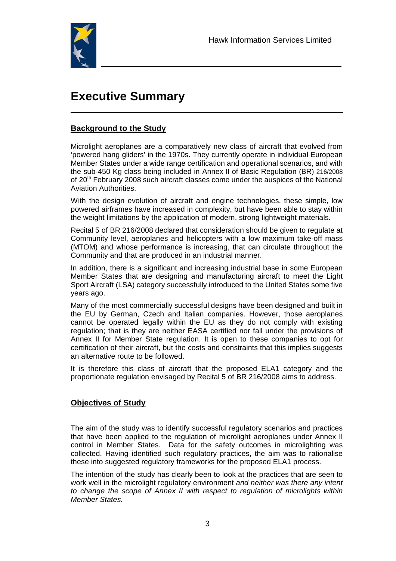

# **Executive Summary**

#### **Background to the Study**

Microlight aeroplanes are a comparatively new class of aircraft that evolved from 'powered hang gliders' in the 1970s. They currently operate in individual European Member States under a wide range certification and operational scenarios, and with the sub-450 Kg class being included in Annex II of Basic Regulation (BR) 216/2008 of 20<sup>th</sup> February 2008 such aircraft classes come under the auspices of the National Aviation Authorities.

With the design evolution of aircraft and engine technologies, these simple, low powered airframes have increased in complexity, but have been able to stay within the weight limitations by the application of modern, strong lightweight materials.

Recital 5 of BR 216/2008 declared that consideration should be given to regulate at Community level, aeroplanes and helicopters with a low maximum take-off mass (MTOM) and whose performance is increasing, that can circulate throughout the Community and that are produced in an industrial manner.

In addition, there is a significant and increasing industrial base in some European Member States that are designing and manufacturing aircraft to meet the Light Sport Aircraft (LSA) category successfully introduced to the United States some five years ago.

Many of the most commercially successful designs have been designed and built in the EU by German, Czech and Italian companies. However, those aeroplanes cannot be operated legally within the EU as they do not comply with existing regulation; that is they are neither EASA certified nor fall under the provisions of Annex II for Member State regulation. It is open to these companies to opt for certification of their aircraft, but the costs and constraints that this implies suggests an alternative route to be followed.

It is therefore this class of aircraft that the proposed ELA1 category and the proportionate regulation envisaged by Recital 5 of BR 216/2008 aims to address.

#### **Objectives of Study**

The aim of the study was to identify successful regulatory scenarios and practices that have been applied to the regulation of microlight aeroplanes under Annex II control in Member States. Data for the safety outcomes in microlighting was collected. Having identified such regulatory practices, the aim was to rationalise these into suggested regulatory frameworks for the proposed ELA1 process.

The intention of the study has clearly been to look at the practices that are seen to work well in the microlight regulatory environment *and neither was there any intent to change the scope of Annex II with respect to regulation of microlights within Member States.*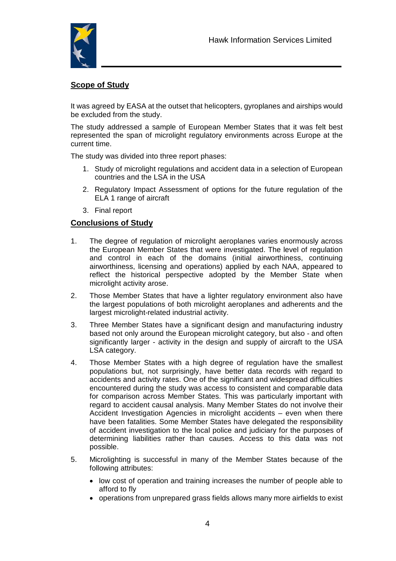

## **Scope of Study**

It was agreed by EASA at the outset that helicopters, gyroplanes and airships would be excluded from the study.

The study addressed a sample of European Member States that it was felt best represented the span of microlight regulatory environments across Europe at the current time.

The study was divided into three report phases:

- 1. Study of microlight regulations and accident data in a selection of European countries and the LSA in the USA
- 2. Regulatory Impact Assessment of options for the future regulation of the ELA 1 range of aircraft
- 3. Final report

#### **Conclusions of Study**

- 1. The degree of regulation of microlight aeroplanes varies enormously across the European Member States that were investigated. The level of regulation and control in each of the domains (initial airworthiness, continuing airworthiness, licensing and operations) applied by each NAA, appeared to reflect the historical perspective adopted by the Member State when microlight activity arose.
- 2. Those Member States that have a lighter regulatory environment also have the largest populations of both microlight aeroplanes and adherents and the largest microlight-related industrial activity.
- 3. Three Member States have a significant design and manufacturing industry based not only around the European microlight category, but also - and often significantly larger - activity in the design and supply of aircraft to the USA LSA category.
- 4. Those Member States with a high degree of regulation have the smallest populations but, not surprisingly, have better data records with regard to accidents and activity rates. One of the significant and widespread difficulties encountered during the study was access to consistent and comparable data for comparison across Member States. This was particularly important with regard to accident causal analysis. Many Member States do not involve their Accident Investigation Agencies in microlight accidents – even when there have been fatalities. Some Member States have delegated the responsibility of accident investigation to the local police and judiciary for the purposes of determining liabilities rather than causes. Access to this data was not possible.
- 5. Microlighting is successful in many of the Member States because of the following attributes:
	- low cost of operation and training increases the number of people able to afford to fly
	- operations from unprepared grass fields allows many more airfields to exist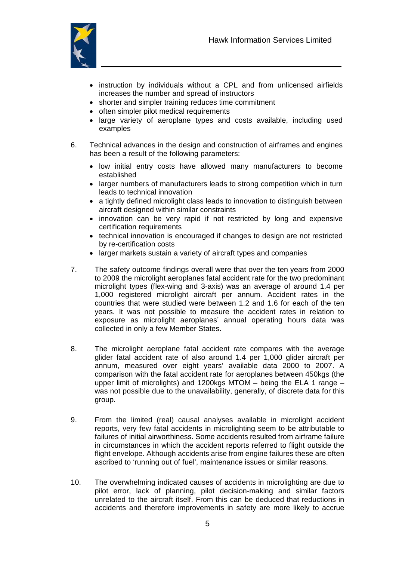

- instruction by individuals without a CPL and from unlicensed airfields increases the number and spread of instructors
- shorter and simpler training reduces time commitment
- often simpler pilot medical requirements
- large variety of aeroplane types and costs available, including used examples
- 6. Technical advances in the design and construction of airframes and engines has been a result of the following parameters:
	- low initial entry costs have allowed many manufacturers to become established
	- larger numbers of manufacturers leads to strong competition which in turn leads to technical innovation
	- a tightly defined microlight class leads to innovation to distinguish between aircraft designed within similar constraints
	- innovation can be very rapid if not restricted by long and expensive certification requirements
	- technical innovation is encouraged if changes to design are not restricted by re-certification costs
	- larger markets sustain a variety of aircraft types and companies
- 7. The safety outcome findings overall were that over the ten years from 2000 to 2009 the microlight aeroplanes fatal accident rate for the two predominant microlight types (flex-wing and 3-axis) was an average of around 1.4 per 1,000 registered microlight aircraft per annum. Accident rates in the countries that were studied were between 1.2 and 1.6 for each of the ten years. It was not possible to measure the accident rates in relation to exposure as microlight aeroplanes' annual operating hours data was collected in only a few Member States.
- 8. The microlight aeroplane fatal accident rate compares with the average glider fatal accident rate of also around 1.4 per 1,000 glider aircraft per annum, measured over eight years' available data 2000 to 2007. A comparison with the fatal accident rate for aeroplanes between 450kgs (the upper limit of microlights) and 1200kgs MTOM – being the ELA 1 range – was not possible due to the unavailability, generally, of discrete data for this group.
- 9. From the limited (real) causal analyses available in microlight accident reports, very few fatal accidents in microlighting seem to be attributable to failures of initial airworthiness. Some accidents resulted from airframe failure in circumstances in which the accident reports referred to flight outside the flight envelope. Although accidents arise from engine failures these are often ascribed to 'running out of fuel', maintenance issues or similar reasons.
- 10. The overwhelming indicated causes of accidents in microlighting are due to pilot error, lack of planning, pilot decision-making and similar factors unrelated to the aircraft itself. From this can be deduced that reductions in accidents and therefore improvements in safety are more likely to accrue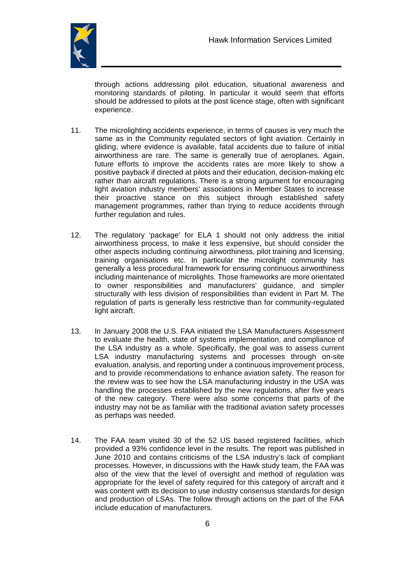

through actions addressing pilot education, situational awareness and monitoring standards of piloting. In particular it would seem that efforts should be addressed to pilots at the post licence stage, often with significant experience.

- 11. The microlighting accidents experience, in terms of causes is very much the same as in the Community regulated sectors of light aviation. Certainly in gliding, where evidence is available, fatal accidents due to failure of initial airworthiness are rare. The same is generally true of aeroplanes. Again, future efforts to improve the accidents rates are more likely to show a positive payback if directed at pilots and their education, decision-making etc rather than aircraft regulations. There is a strong argument for encouraging light aviation industry members' associations in Member States to increase their proactive stance on this subject through established safety management programmes, rather than trying to reduce accidents through further regulation and rules.
- 12. The regulatory 'package' for ELA 1 should not only address the initial airworthiness process, to make it less expensive, but should consider the other aspects including continuing airworthiness, pilot training and licensing, training organisations etc. In particular the microlight community has generally a less procedural framework for ensuring continuous airworthiness including maintenance of microlights. Those frameworks are more orientated to owner responsibilities and manufacturers' guidance, and simpler structurally with less division of responsibilities than evident in Part M. The regulation of parts is generally less restrictive than for community-regulated light aircraft.
- 13. In January 2008 the U.S. FAA initiated the LSA Manufacturers Assessment to evaluate the health, state of systems implementation, and compliance of the LSA industry as a whole. Specifically, the goal was to assess current LSA industry manufacturing systems and processes through on-site evaluation, analysis, and reporting under a continuous improvement process, and to provide recommendations to enhance aviation safety. The reason for the review was to see how the LSA manufacturing industry in the USA was handling the processes established by the new regulations, after five years of the new category. There were also some concerns that parts of the industry may not be as familiar with the traditional aviation safety processes as perhaps was needed.
- 14. The FAA team visited 30 of the 52 US based registered facilities, which provided a 93% confidence level in the results. The report was published in June 2010 and contains criticisms of the LSA industry's lack of compliant processes. However, in discussions with the Hawk study team, the FAA was also of the view that the level of oversight and method of regulation was appropriate for the level of safety required for this category of aircraft and it was content with its decision to use industry consensus standards for design and production of LSAs. The follow through actions on the part of the FAA include education of manufacturers.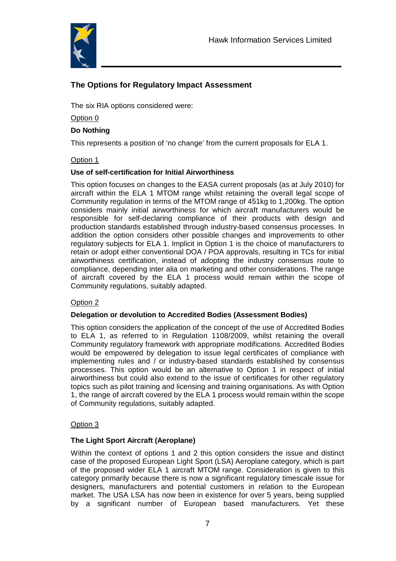

# **The Options for Regulatory Impact Assessment**

The six RIA options considered were:

Option 0

#### **Do Nothing**

This represents a position of 'no change' from the current proposals for ELA 1.

#### Option 1

#### **Use of self-certification for Initial Airworthiness**

This option focuses on changes to the EASA current proposals (as at July 2010) for aircraft within the ELA 1 MTOM range whilst retaining the overall legal scope of Community regulation in terms of the MTOM range of 451kg to 1,200kg. The option considers mainly initial airworthiness for which aircraft manufacturers would be responsible for self-declaring compliance of their products with design and production standards established through industry-based consensus processes. In addition the option considers other possible changes and improvements to other regulatory subjects for ELA 1. Implicit in Option 1 is the choice of manufacturers to retain or adopt either conventional DOA / POA approvals, resulting in TCs for initial airworthiness certification, instead of adopting the industry consensus route to compliance, depending inter alia on marketing and other considerations. The range of aircraft covered by the ELA 1 process would remain within the scope of Community regulations, suitably adapted.

#### Option 2

#### **Delegation or devolution to Accredited Bodies (Assessment Bodies)**

This option considers the application of the concept of the use of Accredited Bodies to ELA 1, as referred to in Regulation 1108/2009, whilst retaining the overall Community regulatory framework with appropriate modifications. Accredited Bodies would be empowered by delegation to issue legal certificates of compliance with implementing rules and / or industry-based standards established by consensus processes. This option would be an alternative to Option 1 in respect of initial airworthiness but could also extend to the issue of certificates for other regulatory topics such as pilot training and licensing and training organisations. As with Option 1, the range of aircraft covered by the ELA 1 process would remain within the scope of Community regulations, suitably adapted.

#### Option 3

#### **The Light Sport Aircraft (Aeroplane)**

Within the context of options 1 and 2 this option considers the issue and distinct case of the proposed European Light Sport (LSA) Aeroplane category, which is part of the proposed wider ELA 1 aircraft MTOM range. Consideration is given to this category primarily because there is now a significant regulatory timescale issue for designers, manufacturers and potential customers in relation to the European market. The USA LSA has now been in existence for over 5 years, being supplied by a significant number of European based manufacturers. Yet these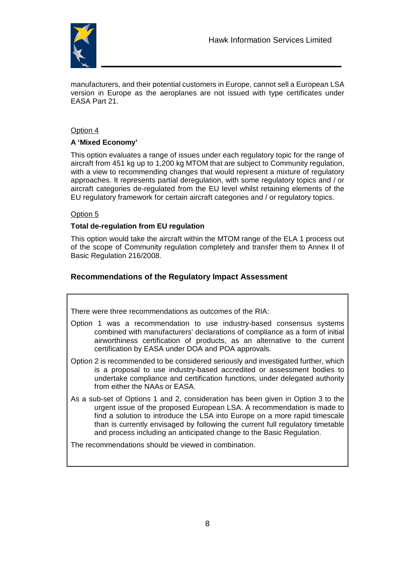

manufacturers, and their potential customers in Europe, cannot sell a European LSA version in Europe as the aeroplanes are not issued with type certificates under EASA Part 21.

#### Option 4

#### **A 'Mixed Economy'**

This option evaluates a range of issues under each regulatory topic for the range of aircraft from 451 kg up to 1,200 kg MTOM that are subject to Community regulation, with a view to recommending changes that would represent a mixture of regulatory approaches. It represents partial deregulation, with some regulatory topics and / or aircraft categories de-regulated from the EU level whilst retaining elements of the EU regulatory framework for certain aircraft categories and / or regulatory topics.

#### Option 5

#### **Total de-regulation from EU regulation**

This option would take the aircraft within the MTOM range of the ELA 1 process out of the scope of Community regulation completely and transfer them to Annex II of Basic Regulation 216/2008.

#### **Recommendations of the Regulatory Impact Assessment**

There were three recommendations as outcomes of the RIA:

- Option 1 was a recommendation to use industry-based consensus systems combined with manufacturers' declarations of compliance as a form of initial airworthiness certification of products, as an alternative to the current certification by EASA under DOA and POA approvals.
- Option 2 is recommended to be considered seriously and investigated further, which is a proposal to use industry-based accredited or assessment bodies to undertake compliance and certification functions, under delegated authority from either the NAAs or EASA.
- As a sub-set of Options 1 and 2, consideration has been given in Option 3 to the urgent issue of the proposed European LSA. A recommendation is made to find a solution to introduce the LSA into Europe on a more rapid timescale than is currently envisaged by following the current full regulatory timetable and process including an anticipated change to the Basic Regulation.

The recommendations should be viewed in combination.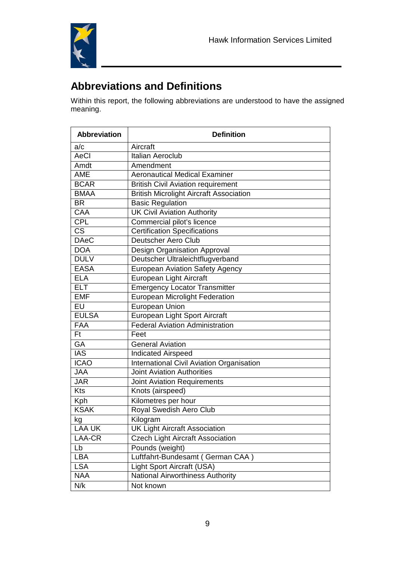

# **Abbreviations and Definitions**

Within this report, the following abbreviations are understood to have the assigned meaning.

| <b>Abbreviation</b>      | <b>Definition</b>                              |
|--------------------------|------------------------------------------------|
| a/c                      | Aircraft                                       |
| AeCl                     | <b>Italian Aeroclub</b>                        |
| Amdt                     | Amendment                                      |
| <b>AME</b>               | <b>Aeronautical Medical Examiner</b>           |
| <b>BCAR</b>              | <b>British Civil Aviation requirement</b>      |
| <b>BMAA</b>              | <b>British Microlight Aircraft Association</b> |
| <b>BR</b>                | <b>Basic Regulation</b>                        |
| <b>CAA</b>               | <b>UK Civil Aviation Authority</b>             |
| <b>CPL</b>               | Commercial pilot's licence                     |
| $c\overline{s}$          | <b>Certification Specifications</b>            |
| <b>DAeC</b>              | <b>Deutscher Aero Club</b>                     |
| <b>DOA</b>               | Design Organisation Approval                   |
| <b>DULV</b>              | Deutscher Ultraleichtflugverband               |
| <b>EASA</b>              | <b>European Aviation Safety Agency</b>         |
| <b>ELA</b>               | European Light Aircraft                        |
| <b>ELT</b>               | <b>Emergency Locator Transmitter</b>           |
| <b>EMF</b>               | <b>European Microlight Federation</b>          |
| $\overline{\mathsf{EU}}$ | <b>European Union</b>                          |
| <b>EULSA</b>             | European Light Sport Aircraft                  |
| <b>FAA</b>               | <b>Federal Aviation Administration</b>         |
| <b>Ft</b>                | Feet                                           |
| GA                       | <b>General Aviation</b>                        |
| <b>IAS</b>               | <b>Indicated Airspeed</b>                      |
| <b>ICAO</b>              | International Civil Aviation Organisation      |
| <b>JAA</b>               | <b>Joint Aviation Authorities</b>              |
| <b>JAR</b>               | <b>Joint Aviation Requirements</b>             |
| <b>Kts</b>               | Knots (airspeed)                               |
| Kph                      | Kilometres per hour                            |
| <b>KSAK</b>              | Royal Swedish Aero Club                        |
| kg                       | Kilogram                                       |
| <b>LAA UK</b>            | <b>UK Light Aircraft Association</b>           |
| LAA-CR                   | <b>Czech Light Aircraft Association</b>        |
| Lb                       | Pounds (weight)                                |
| <b>LBA</b>               | Luftfahrt-Bundesamt (German CAA)               |
| <b>LSA</b>               | Light Sport Aircraft (USA)                     |
| <b>NAA</b>               | <b>National Airworthiness Authority</b>        |
| N/k                      | Not known                                      |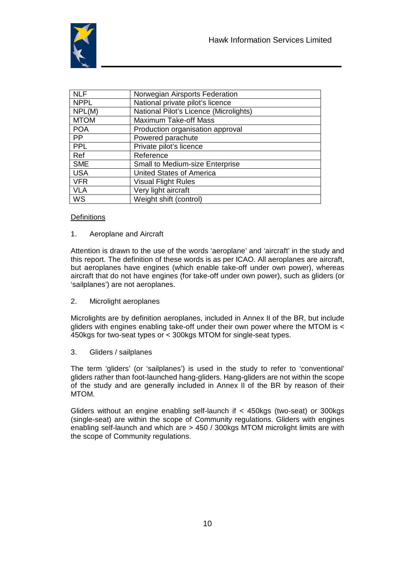

| <b>NLF</b>  | Norwegian Airsports Federation         |
|-------------|----------------------------------------|
| <b>NPPL</b> | National private pilot's licence       |
| NPL(M)      | National Pilot's Licence (Microlights) |
| <b>MTOM</b> | <b>Maximum Take-off Mass</b>           |
| <b>POA</b>  | Production organisation approval       |
| <b>PP</b>   | Powered parachute                      |
| <b>PPL</b>  | Private pilot's licence                |
| Ref         | Reference                              |
| <b>SME</b>  | <b>Small to Medium-size Enterprise</b> |
| <b>USA</b>  | <b>United States of America</b>        |
| <b>VFR</b>  | <b>Visual Flight Rules</b>             |
| <b>VLA</b>  | Very light aircraft                    |
| WS          | Weight shift (control)                 |

#### **Definitions**

#### 1. Aeroplane and Aircraft

Attention is drawn to the use of the words 'aeroplane' and 'aircraft' in the study and this report. The definition of these words is as per ICAO. All aeroplanes are aircraft, but aeroplanes have engines (which enable take-off under own power), whereas aircraft that do not have engines (for take-off under own power), such as gliders (or 'sailplanes') are not aeroplanes.

2. Microlight aeroplanes

Microlights are by definition aeroplanes, included in Annex II of the BR, but include gliders with engines enabling take-off under their own power where the MTOM is < 450kgs for two-seat types or < 300kgs MTOM for single-seat types.

3. Gliders / sailplanes

The term 'gliders' (or 'sailplanes') is used in the study to refer to 'conventional' gliders rather than foot-launched hang-gliders. Hang-gliders are not within the scope of the study and are generally included in Annex II of the BR by reason of their MTOM.

Gliders without an engine enabling self-launch if < 450kgs (two-seat) or 300kgs (single-seat) are within the scope of Community regulations. Gliders with engines enabling self-launch and which are > 450 / 300kgs MTOM microlight limits are with the scope of Community regulations.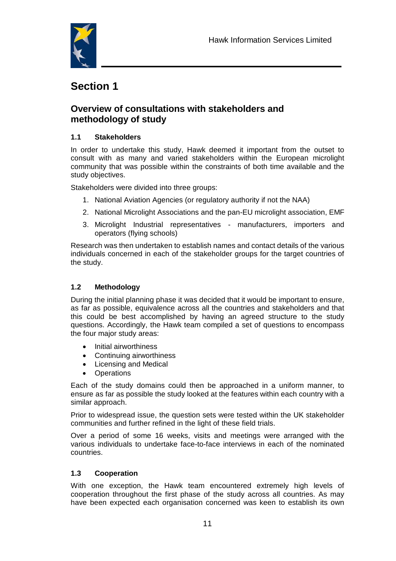

# **Section 1**

# **Overview of consultations with stakeholders and methodology of study**

#### **1.1 Stakeholders**

In order to undertake this study, Hawk deemed it important from the outset to consult with as many and varied stakeholders within the European microlight community that was possible within the constraints of both time available and the study objectives.

Stakeholders were divided into three groups:

- 1. National Aviation Agencies (or regulatory authority if not the NAA)
- 2. National Microlight Associations and the pan-EU microlight association, EMF
- 3. Microlight Industrial representatives manufacturers, importers and operators (flying schools)

Research was then undertaken to establish names and contact details of the various individuals concerned in each of the stakeholder groups for the target countries of the study.

#### **1.2 Methodology**

During the initial planning phase it was decided that it would be important to ensure, as far as possible, equivalence across all the countries and stakeholders and that this could be best accomplished by having an agreed structure to the study questions. Accordingly, the Hawk team compiled a set of questions to encompass the four major study areas:

- Initial airworthiness
- Continuing airworthiness
- Licensing and Medical
- Operations

Each of the study domains could then be approached in a uniform manner, to ensure as far as possible the study looked at the features within each country with a similar approach.

Prior to widespread issue, the question sets were tested within the UK stakeholder communities and further refined in the light of these field trials.

Over a period of some 16 weeks, visits and meetings were arranged with the various individuals to undertake face-to-face interviews in each of the nominated countries.

#### **1.3 Cooperation**

With one exception, the Hawk team encountered extremely high levels of cooperation throughout the first phase of the study across all countries. As may have been expected each organisation concerned was keen to establish its own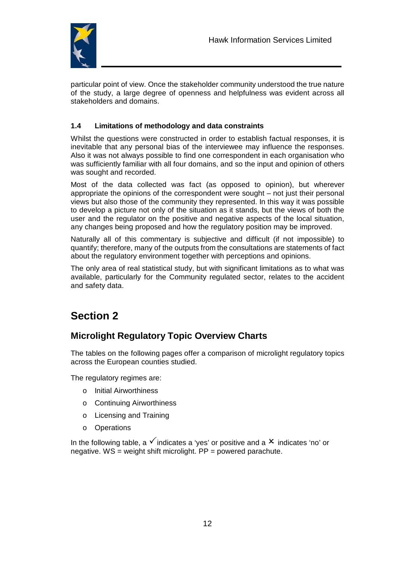

particular point of view. Once the stakeholder community understood the true nature of the study, a large degree of openness and helpfulness was evident across all stakeholders and domains.

#### **1.4 Limitations of methodology and data constraints**

Whilst the questions were constructed in order to establish factual responses, it is inevitable that any personal bias of the interviewee may influence the responses. Also it was not always possible to find one correspondent in each organisation who was sufficiently familiar with all four domains, and so the input and opinion of others was sought and recorded.

Most of the data collected was fact (as opposed to opinion), but wherever appropriate the opinions of the correspondent were sought – not just their personal views but also those of the community they represented. In this way it was possible to develop a picture not only of the situation as it stands, but the views of both the user and the regulator on the positive and negative aspects of the local situation, any changes being proposed and how the regulatory position may be improved.

Naturally all of this commentary is subjective and difficult (if not impossible) to quantify; therefore, many of the outputs from the consultations are statements of fact about the regulatory environment together with perceptions and opinions.

The only area of real statistical study, but with significant limitations as to what was available, particularly for the Community regulated sector, relates to the accident and safety data.

# **Section 2**

# **Microlight Regulatory Topic Overview Charts**

The tables on the following pages offer a comparison of microlight regulatory topics across the European counties studied.

The regulatory regimes are:

- o Initial Airworthiness
- o Continuing Airworthiness
- o Licensing and Training
- o Operations

In the following table, a  $\checkmark$  indicates a 'yes' or positive and a  $\checkmark$  indicates 'no' or negative.  $WS = weight shift microlight. PP = powered parachute.$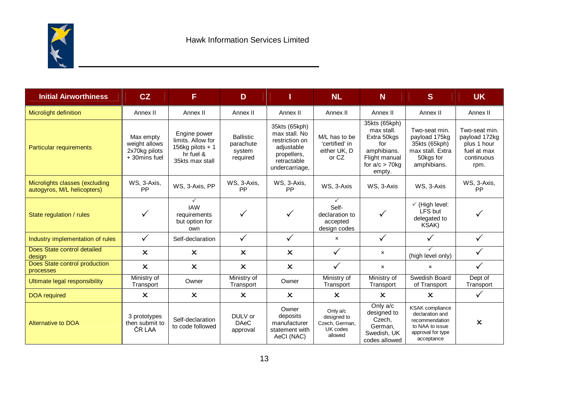

| <b>Initial Airworthiness</b>                                  | CZ                                                                                                                                                                                                                                                              | F                                                                                      | D                                                                            | п                                                                                                                 | <b>NL</b>                                                                                                                                                                    | N                         | <sub>S</sub>                                                                                    | <b>UK</b>                                                                          |
|---------------------------------------------------------------|-----------------------------------------------------------------------------------------------------------------------------------------------------------------------------------------------------------------------------------------------------------------|----------------------------------------------------------------------------------------|------------------------------------------------------------------------------|-------------------------------------------------------------------------------------------------------------------|------------------------------------------------------------------------------------------------------------------------------------------------------------------------------|---------------------------|-------------------------------------------------------------------------------------------------|------------------------------------------------------------------------------------|
| Microlight definition                                         | Annex II                                                                                                                                                                                                                                                        | Annex II                                                                               | Annex II                                                                     | Annex II                                                                                                          | Annex II                                                                                                                                                                     | Annex II                  | Annex II                                                                                        | Annex II                                                                           |
| <b>Particular requirements</b>                                | Max empty<br>weight allows<br>2x70kg pilots<br>+30mins fuel                                                                                                                                                                                                     | Engine power<br>limits. Allow for<br>156kg pilots $+1$<br>hr fuel &<br>35kts max stall | <b>Ballistic</b><br>parachute<br>system<br>required                          | 35kts (65kph)<br>max stall. No<br>restriction on<br>adjustable<br>propellers,<br>retractable<br>undercarriage,    | 35kts (65kph)<br>max stall.<br>M/L has to be<br>Extra 50kgs<br>'certified' in<br>for<br>either UK, D<br>amphibians.<br>Flight manual<br>or CZ<br>for $a/c > 70$ kg<br>empty. |                           | Two-seat min.<br>payload 175kg<br>35kts (65kph)<br>max stall. Extra<br>50kgs for<br>amphibians. | Two-seat min.<br>payload 172kg<br>plus 1 hour<br>fuel at max<br>continuous<br>rpm. |
| Microlights classes (excluding<br>autogyros, M/L helicopters) | WS, 3-Axis,<br><b>PP</b>                                                                                                                                                                                                                                        | WS, 3-Axis, PP                                                                         | WS, 3-Axis,<br><b>PP</b>                                                     | WS, 3-Axis,<br>PP                                                                                                 | WS, 3-Axis                                                                                                                                                                   | WS, 3-Axis                | WS, 3-Axis                                                                                      | WS, 3-Axis,<br>PP                                                                  |
| State regulation / rules                                      |                                                                                                                                                                                                                                                                 | <b>IAW</b><br>requirements<br>but option for<br>own                                    |                                                                              |                                                                                                                   | $\checkmark$<br>Self-<br>declaration to<br>accepted<br>design codes                                                                                                          |                           | $\checkmark$ (High level:<br>LFS but<br>delegated to<br>KSAK)                                   |                                                                                    |
| Industry implementation of rules                              | $\checkmark$                                                                                                                                                                                                                                                    | Self-declaration                                                                       | $\checkmark$                                                                 | $\checkmark$                                                                                                      | $\pmb{\times}$                                                                                                                                                               | $\checkmark$              |                                                                                                 |                                                                                    |
| Does State control detailed<br>design                         | $\boldsymbol{\mathsf{x}}$                                                                                                                                                                                                                                       | $\boldsymbol{\mathsf{x}}$                                                              | $\boldsymbol{\mathsf{x}}$                                                    | $\boldsymbol{\mathsf{x}}$                                                                                         | $\checkmark$                                                                                                                                                                 | $\boldsymbol{\mathsf{x}}$ | $\checkmark$<br>(high level only)                                                               |                                                                                    |
| Does State control production<br>processes                    | $\boldsymbol{\mathsf{x}}$                                                                                                                                                                                                                                       | $\boldsymbol{\mathsf{x}}$                                                              | $\boldsymbol{\mathsf{x}}$                                                    | $\boldsymbol{\mathsf{x}}$                                                                                         | $\checkmark$                                                                                                                                                                 | $\boldsymbol{\mathsf{x}}$ | $\boldsymbol{\mathsf{x}}$                                                                       | $\checkmark$                                                                       |
| Ultimate legal responsibility                                 | Ministry of<br>Transport                                                                                                                                                                                                                                        | Owner                                                                                  | Ministry of<br>Transport                                                     | Owner                                                                                                             | Ministry of<br>Transport                                                                                                                                                     | Ministry of<br>Transport  | Swedish Board<br>of Transport                                                                   | Dept of<br>Transport                                                               |
| <b>DOA</b> required                                           | $\mathsf{x}$                                                                                                                                                                                                                                                    | $\boldsymbol{\mathsf{x}}$                                                              | $\boldsymbol{\mathsf{x}}$                                                    | $\boldsymbol{\mathsf{x}}$                                                                                         | $\mathsf{x}$                                                                                                                                                                 | $\boldsymbol{\mathsf{x}}$ | $\mathsf{x}$                                                                                    | $\checkmark$                                                                       |
| Alternative to DOA                                            | Owner<br>Only a/c<br>DULV or<br>deposits<br>3 prototypes<br>designed to<br>Self-declaration<br>then submit to<br><b>DAeC</b><br>manufacturer<br>Czech, German,<br>to code followed<br>UK codes<br>ČR LAA<br>statement with<br>approval<br>allowed<br>AeCI (NAC) |                                                                                        | Only a/c<br>designed to<br>Czech,<br>German.<br>Swedish, UK<br>codes allowed | <b>KSAK</b> compliance<br>declaration and<br>recommendation<br>to NAA to issue<br>approval for type<br>acceptance | $\boldsymbol{\mathsf{x}}$                                                                                                                                                    |                           |                                                                                                 |                                                                                    |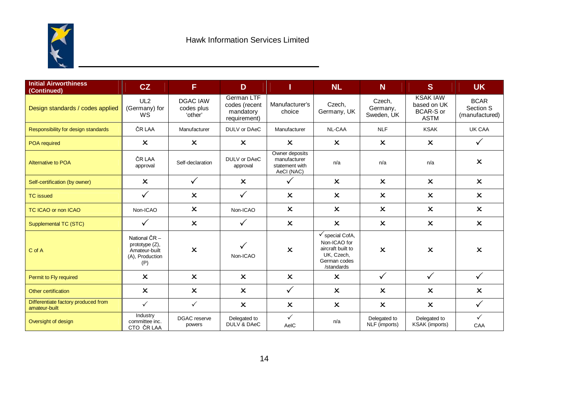

| <b>Initial Airworthiness</b><br>(Continued)          | CZ                                                                           | F                                        | D                                                        | п                                                              | <b>NL</b>                                                                                                   | N                                | <sub>S</sub>                                                      | <b>UK</b>                                  |
|------------------------------------------------------|------------------------------------------------------------------------------|------------------------------------------|----------------------------------------------------------|----------------------------------------------------------------|-------------------------------------------------------------------------------------------------------------|----------------------------------|-------------------------------------------------------------------|--------------------------------------------|
| Design standards / codes applied                     | UL <sub>2</sub><br>(Germany) for<br>WS                                       | <b>DGAC IAW</b><br>codes plus<br>'other' | German LTF<br>codes (recent<br>mandatory<br>requirement) | Manufacturer's<br>choice                                       | Czech,<br>Germany, UK                                                                                       | Czech,<br>Germany,<br>Sweden, UK | <b>KSAK IAW</b><br>based on UK<br><b>BCAR-S or</b><br><b>ASTM</b> | <b>BCAR</b><br>Section S<br>(manufactured) |
| Responsibility for design standards                  | ČR LAA                                                                       | Manufacturer                             | DULV or DAeC                                             | Manufacturer                                                   | NL-CAA                                                                                                      | <b>NLF</b>                       | <b>KSAK</b>                                                       | UK CAA                                     |
| POA required                                         | $\boldsymbol{\mathsf{x}}$                                                    | $\boldsymbol{\mathsf{x}}$                | $\boldsymbol{\mathsf{x}}$                                | $\boldsymbol{\mathsf{x}}$                                      | $\boldsymbol{\mathsf{x}}$                                                                                   | $\boldsymbol{\mathsf{x}}$        | $\boldsymbol{\mathsf{x}}$                                         | $\checkmark$                               |
| <b>Alternative to POA</b>                            | ČR LAA<br>approval                                                           | Self-declaration                         | DULV or DAeC<br>approval                                 | Owner deposits<br>manufacturer<br>statement with<br>AeCI (NAC) | n/a                                                                                                         | n/a                              |                                                                   | $\boldsymbol{\mathsf{x}}$                  |
| Self-certification (by owner)                        | $\boldsymbol{\mathsf{x}}$                                                    | $\checkmark$                             | $\boldsymbol{\mathsf{x}}$                                | $\checkmark$                                                   | $\boldsymbol{\mathsf{x}}$                                                                                   | $\boldsymbol{\mathsf{x}}$        | $\boldsymbol{\mathsf{x}}$                                         | $\boldsymbol{\mathsf{x}}$                  |
| <b>TC</b> issued                                     | $\checkmark$                                                                 | $\boldsymbol{\mathsf{x}}$                | $\checkmark$                                             | $\boldsymbol{\mathsf{x}}$                                      | $\boldsymbol{\mathsf{x}}$                                                                                   | $\boldsymbol{\mathsf{x}}$        |                                                                   | $\boldsymbol{\mathsf{x}}$                  |
| <b>TC ICAO or non ICAO</b>                           | Non-ICAO                                                                     | $\boldsymbol{\mathsf{x}}$                | Non-ICAO                                                 | $\boldsymbol{\mathsf{x}}$                                      | $\boldsymbol{\mathsf{x}}$                                                                                   | $\boldsymbol{\mathsf{x}}$        | $\boldsymbol{\mathsf{x}}$                                         | $\boldsymbol{\mathsf{x}}$                  |
| Supplemental TC (STC)                                | $\checkmark$                                                                 | $\boldsymbol{\mathsf{x}}$                | $\checkmark$                                             | $\boldsymbol{\mathsf{x}}$                                      | $\boldsymbol{\mathsf{x}}$                                                                                   | $\boldsymbol{\mathsf{x}}$        | $\boldsymbol{\mathsf{x}}$                                         | $\boldsymbol{\mathsf{x}}$                  |
| C of A                                               | National ČR-<br>prototype $(Z)$ ,<br>Amateur-built<br>(A), Production<br>(P) | $\pmb{\times}$                           | Non-ICAO                                                 | $\boldsymbol{\mathsf{x}}$                                      | $\checkmark$ special CofA,<br>Non-ICAO for<br>aircraft built to<br>UK, Czech,<br>German codes<br>/standards | $\boldsymbol{\mathsf{x}}$        | $\boldsymbol{\mathsf{x}}$                                         | $\mathsf{x}$                               |
| Permit to Fly required                               | $\boldsymbol{\mathsf{x}}$                                                    | $\boldsymbol{\mathsf{x}}$                | $\boldsymbol{\mathsf{x}}$                                | $\pmb{\times}$                                                 | $\boldsymbol{\mathsf{x}}$                                                                                   | $\checkmark$                     | $\checkmark$                                                      | $\checkmark$                               |
| Other certification                                  | $\boldsymbol{\mathsf{x}}$                                                    | $\boldsymbol{\mathsf{x}}$                | $\boldsymbol{\mathsf{x}}$                                | $\checkmark$                                                   | $\boldsymbol{\mathsf{x}}$                                                                                   | $\boldsymbol{\mathsf{x}}$        | $\boldsymbol{\mathsf{x}}$                                         | $\boldsymbol{\mathsf{x}}$                  |
| Differentiate factory produced from<br>amateur-built | $\checkmark$                                                                 | $\checkmark$                             | $\boldsymbol{\mathsf{x}}$                                | $\boldsymbol{\mathsf{x}}$                                      | $\boldsymbol{\mathsf{x}}$                                                                                   | $\boldsymbol{\mathsf{x}}$        | $\boldsymbol{\mathsf{x}}$                                         | $\checkmark$                               |
| Oversight of design                                  | Industry<br>committee inc.<br>CTO ČR LAA                                     | <b>DGAC</b> reserve<br>powers            | Delegated to<br><b>DULV &amp; DAeC</b>                   | $\checkmark$<br>AeIC                                           | n/a                                                                                                         | Delegated to<br>NLF (imports)    | Delegated to<br>KSAK (imports)                                    | $\checkmark$<br>CAA                        |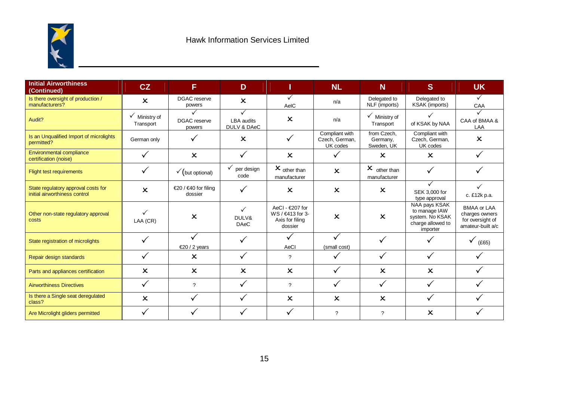

| <b>Initial Airworthiness</b><br>(Continued)                          | CZ                                    | F                                       | D                                     |                                                                   | <b>NL</b>                                    | N                                       | S                                                                                  | <b>UK</b>                                                                     |
|----------------------------------------------------------------------|---------------------------------------|-----------------------------------------|---------------------------------------|-------------------------------------------------------------------|----------------------------------------------|-----------------------------------------|------------------------------------------------------------------------------------|-------------------------------------------------------------------------------|
| Is there oversight of production /<br>manufacturers?                 | $\boldsymbol{\mathsf{x}}$             | <b>DGAC</b> reserve<br>powers           | $\boldsymbol{\mathsf{x}}$             | ✓<br>AeIC                                                         | n/a                                          | Delegated to<br>NLF (imports)           | Delegated to<br>KSAK (imports)                                                     | $\checkmark$<br>CAA                                                           |
| Audit?                                                               | $\checkmark$ Ministry of<br>Transport | ✓<br>DGAC reserve<br>powers             | ✓<br><b>LBA</b> audits<br>DULV & DAeC | $\boldsymbol{\mathsf{x}}$                                         | n/a                                          | $\checkmark$ Ministry of<br>Transport   | ✓<br>of KSAK by NAA                                                                | CAA of BMAA &<br>LAA                                                          |
| Is an Unqualified Import of microlights<br>permitted?                | German only                           | $\checkmark$                            | $\boldsymbol{\mathsf{x}}$             | $\checkmark$                                                      | Compliant with<br>Czech, German,<br>UK codes | from Czech,<br>Germany,<br>Sweden, UK   | Compliant with<br>Czech, German,<br>UK codes                                       | $\boldsymbol{\mathsf{x}}$                                                     |
| Environmental compliance<br>certification (noise)                    |                                       | $\boldsymbol{\mathsf{x}}$               | $\checkmark$                          | $\boldsymbol{\mathsf{x}}$                                         | ✓                                            | $\boldsymbol{\mathsf{x}}$               | $\mathbf x$                                                                        |                                                                               |
| <b>Flight test requirements</b>                                      | ✓                                     | $\checkmark$ (but optional)             | $\checkmark$ per design<br>code       | $x_{\text{other than}}$<br>manufacturer                           | $\boldsymbol{\mathsf{x}}$                    | $x_{\text{other than}}$<br>manufacturer | $\checkmark$                                                                       |                                                                               |
| State regulatory approval costs for<br>initial airworthiness control | $\boldsymbol{\mathsf{x}}$             | €20 / €40 for filing<br>dossier         | ✓                                     | $\boldsymbol{\mathsf{x}}$                                         | $\boldsymbol{\mathsf{x}}$                    | $\boldsymbol{\mathsf{x}}$               | ✓<br>SEK 3,000 for<br>type approval                                                | c. £12k p.a.                                                                  |
| Other non-state regulatory approval<br>costs                         | ✓<br>LAA (CR)                         | $\boldsymbol{\mathsf{x}}$               | ✓<br>DULV&<br><b>DAeC</b>             | AeCl - €207 for<br>WS / €413 for 3-<br>Axis for filing<br>dossier | $\boldsymbol{\mathsf{x}}$                    | $\boldsymbol{\mathsf{x}}$               | NAA pays KSAK<br>to manage IAW<br>system. No KSAK<br>charge allowed to<br>importer | <b>BMAA or LAA</b><br>charges owners<br>for oversight of<br>amateur-built a/c |
| State registration of microlights                                    | ✓                                     | $\checkmark$<br>$\epsilon$ 20 / 2 years | ✓                                     | AeCl                                                              | ✓<br>(small cost)                            | ✓                                       | ✓                                                                                  | (E65)                                                                         |
| Repair design standards                                              | ✓                                     | $\boldsymbol{\mathsf{x}}$               |                                       | $\gamma$                                                          | ✓                                            | ✓                                       |                                                                                    |                                                                               |
| Parts and appliances certification                                   | $\boldsymbol{\mathsf{x}}$             | $\mathsf{x}$                            | $\boldsymbol{\mathsf{x}}$             | $\mathsf{x}$                                                      | $\checkmark$                                 | $\boldsymbol{\mathsf{x}}$               | $\boldsymbol{\mathsf{x}}$                                                          |                                                                               |
| <b>Airworthiness Directives</b>                                      | ✓                                     | $\overline{\mathcal{E}}$                |                                       | $\gamma$                                                          | ✓                                            | $\checkmark$                            |                                                                                    |                                                                               |
| Is there a Single seat deregulated<br>class?                         | $\boldsymbol{\mathsf{x}}$             | $\checkmark$                            | ✓                                     | $\boldsymbol{\mathsf{x}}$                                         | $\boldsymbol{\mathsf{x}}$                    | $\boldsymbol{\mathsf{x}}$               | ✓                                                                                  |                                                                               |
| Are Microlight gliders permitted                                     | ✓                                     | $\checkmark$                            |                                       |                                                                   | ?                                            | $\overline{?}$                          | $\boldsymbol{\mathsf{x}}$                                                          |                                                                               |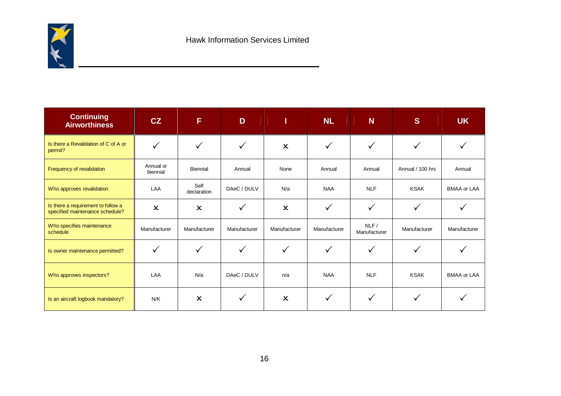

| <b>Continuing</b><br><b>Airworthiness</b>                             | CZ                    | E                         | D            | Т                         | <b>NL</b>    | N                    | <sub>S</sub>     | <b>UK</b>          |
|-----------------------------------------------------------------------|-----------------------|---------------------------|--------------|---------------------------|--------------|----------------------|------------------|--------------------|
| Is there a Revalidation of C of A or<br>permit?                       | ✓                     | ✓                         |              | $\boldsymbol{\mathsf{x}}$ | $\checkmark$ |                      |                  |                    |
| Frequency of revalidation                                             | Annual or<br>biennial | <b>Biennial</b>           | Annual       | None                      | Annual       | Annual               | Annual / 100 hrs | Annual             |
| Who approves revalidation                                             | LAA                   | Self<br>declaration       | DAeC / DULV  | N/a                       | <b>NAA</b>   | <b>NLF</b>           | <b>KSAK</b>      | <b>BMAA or LAA</b> |
| Is there a requirement to follow a<br>specified maintenance schedule? | $\pmb{\times}$        | $\boldsymbol{\mathsf{x}}$ |              | $\boldsymbol{\mathsf{x}}$ | $\checkmark$ | $\checkmark$         |                  |                    |
| Who specifies maintenance<br>schedule                                 | Manufacturer          | Manufacturer              | Manufacturer | Manufacturer              | Manufacturer | NLF/<br>Manufacturer | Manufacturer     | Manufacturer       |
| Is owner maintenance permitted?                                       | ✓                     | ✓                         | ✓            | $\checkmark$              | $\checkmark$ | ✓                    |                  |                    |
| Who approves inspectors?                                              | LAA                   | N/a                       | DAeC / DULV  | n/a                       | <b>NAA</b>   | <b>NLF</b>           | <b>KSAK</b>      | <b>BMAA or LAA</b> |
| Is an aircraft logbook mandatory?                                     | N/K                   | $\pmb{\times}$            | ✓            | $\boldsymbol{\mathsf{x}}$ | $\checkmark$ | $\checkmark$         |                  |                    |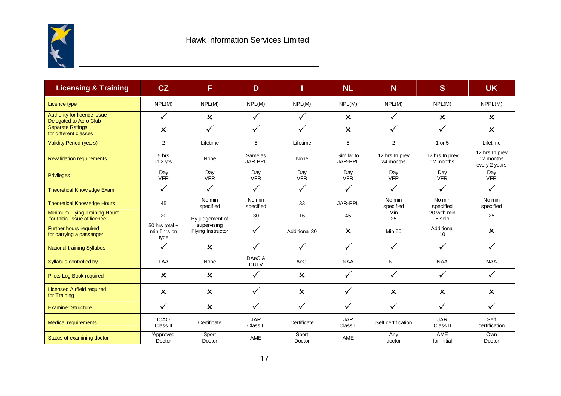

| <b>Licensing &amp; Training</b>                                      | CZ                                      | F                                | D                         |                           | <b>NL</b>                 | <b>N</b>                    | <sub>S</sub>                | <b>UK</b>                                    |
|----------------------------------------------------------------------|-----------------------------------------|----------------------------------|---------------------------|---------------------------|---------------------------|-----------------------------|-----------------------------|----------------------------------------------|
| Licence type                                                         | NPL(M)                                  | NPL(M)                           | NPL(M)                    | NPL(M)                    | NPL(M)                    | NPL(M)                      | NPL(M)                      | NPPL(M)                                      |
| Authority for licence issue<br>Delegated to Aero Club                | $\checkmark$                            | $\boldsymbol{\mathsf{x}}$        | $\checkmark$              | $\checkmark$              | $\boldsymbol{\mathsf{x}}$ | $\checkmark$                | $\boldsymbol{\mathsf{x}}$   | $\boldsymbol{\mathsf{x}}$                    |
| <b>Separate Ratings</b><br>for different classes                     | $\boldsymbol{\mathsf{x}}$               | $\checkmark$                     | $\checkmark$              | $\checkmark$              | $\boldsymbol{\mathsf{x}}$ | $\checkmark$                | $\checkmark$                | $\boldsymbol{\mathsf{x}}$                    |
| <b>Validity Period (years)</b>                                       | 2                                       | Lifetime                         | 5                         | Lifetime                  | 5                         | $\overline{c}$              | 1 or 5                      | Lifetime                                     |
| <b>Revalidation requirements</b>                                     | 5 hrs<br>in 2 yrs                       | None                             | Same as<br><b>JAR PPL</b> | None                      | Similar to<br>JAR-PPL     | 12 hrs In prev<br>24 months | 12 hrs In prev<br>12 months | 12 hrs In prev<br>12 months<br>every 2 years |
| <b>Privileges</b>                                                    | Day<br><b>VFR</b>                       | Day<br><b>VFR</b>                | Day<br><b>VFR</b>         | Day<br><b>VFR</b>         | Day<br><b>VFR</b>         | Day<br><b>VFR</b>           | Day<br><b>VFR</b>           | Day<br><b>VFR</b>                            |
| <b>Theoretical Knowledge Exam</b>                                    | $\checkmark$                            | $\checkmark$                     | $\checkmark$              | $\checkmark$              | $\checkmark$              | $\checkmark$                | $\checkmark$                | $\checkmark$                                 |
| <b>Theoretical Knowledge Hours</b>                                   | 45                                      | No min<br>specified              | No min<br>specified       | 33                        | JAR-PPL                   | No min<br>specified         | No min<br>specified         | No min<br>specified                          |
| <b>Minimum Flying Training Hours</b><br>for Initial Issue of licence | 20                                      | By judgement of                  | 30                        | 16                        | 45                        | <b>Min</b><br>25            | 20 with min<br>5 solo       | 25                                           |
| <b>Further hours required</b><br>for carrying a passenger            | $50$ hrs total +<br>min 5hrs on<br>type | supervising<br>Flying Instructor | $\checkmark$              | Additional 30             | $\boldsymbol{\mathsf{x}}$ | <b>Min 50</b>               | Additional<br>10            | $\boldsymbol{\mathsf{x}}$                    |
| <b>National training Syllabus</b>                                    | $\checkmark$                            | $\mathsf{x}$                     | $\checkmark$              | $\checkmark$              | $\checkmark$              | $\checkmark$                | $\checkmark$                |                                              |
| Syllabus controlled by                                               | LAA                                     | None                             | DAeC &<br><b>DULV</b>     | AeCl                      | <b>NAA</b>                | <b>NLF</b>                  | <b>NAA</b>                  | <b>NAA</b>                                   |
| Pilots Log Book required                                             | $\boldsymbol{\mathsf{x}}$               | $\boldsymbol{\mathsf{x}}$        | $\checkmark$              | $\boldsymbol{\mathsf{x}}$ | $\checkmark$              | $\checkmark$                | $\checkmark$                |                                              |
| <b>Licensed Airfield required</b><br>for Training                    | $\boldsymbol{\mathsf{x}}$               | $\mathsf{x}$                     | $\checkmark$              | $\boldsymbol{\mathsf{x}}$ | ✓                         | $\boldsymbol{\mathsf{x}}$   | $\mathbf x$                 | $\mathsf{x}$                                 |
| <b>Examiner Structure</b>                                            | $\checkmark$                            | $\boldsymbol{\mathsf{x}}$        | $\checkmark$              | $\checkmark$              | $\checkmark$              | $\checkmark$                | $\checkmark$                | $\checkmark$                                 |
| <b>Medical requirements</b>                                          | <b>ICAO</b><br>Class II                 | Certificate                      | <b>JAR</b><br>Class II    | Certificate               | <b>JAR</b><br>Class II    | Self certification          | <b>JAR</b><br>Class II      | Self<br>certification                        |
| Status of examining doctor                                           | 'Approved'<br>Doctor                    | Sport<br>Doctor                  | AME                       | Sport<br>Doctor           | <b>AME</b>                | Any<br>doctor               | AME<br>for initial          | Own<br>Doctor                                |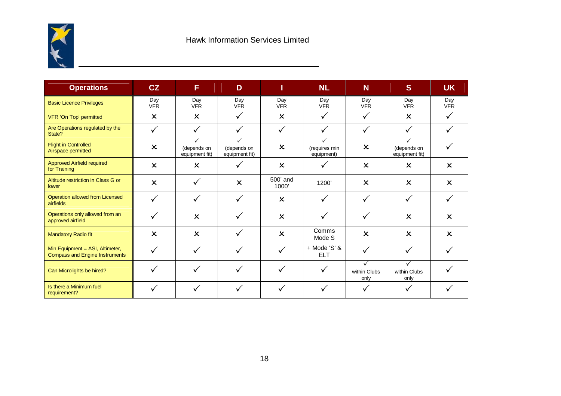

| <b>Operations</b>                                                        | CZ                        | F                                             | D                                  | <b>NL</b>                 |                             | N                         | S                                  | <b>UK</b>                 |
|--------------------------------------------------------------------------|---------------------------|-----------------------------------------------|------------------------------------|---------------------------|-----------------------------|---------------------------|------------------------------------|---------------------------|
| <b>Basic Licence Privileges</b>                                          | Day<br><b>VFR</b>         | Day<br><b>VFR</b>                             | Day<br><b>VFR</b>                  | Day<br><b>VFR</b>         | Day<br><b>VFR</b>           | Day<br><b>VFR</b>         | Day<br><b>VFR</b>                  | Day<br><b>VFR</b>         |
| VFR 'On Top' permitted                                                   | $\boldsymbol{\mathsf{x}}$ | $\boldsymbol{\mathsf{x}}$                     | $\checkmark$                       | $\boldsymbol{\mathsf{x}}$ | ✓                           | ✓                         | $\boldsymbol{\mathsf{x}}$          | ✓                         |
| Are Operations regulated by the<br>State?                                |                           |                                               |                                    |                           |                             |                           |                                    |                           |
| <b>Flight in Controlled</b><br>Airspace permitted                        | $\boldsymbol{\mathsf{x}}$ | $\checkmark$<br>(depends on<br>equipment fit) | ✓<br>(depends on<br>equipment fit) | $\boldsymbol{\mathsf{x}}$ | (requires min<br>equipment) | $\boldsymbol{\mathsf{x}}$ | ✓<br>(depends on<br>equipment fit) |                           |
| Approved Airfield required<br>for Training                               | $\boldsymbol{\mathsf{x}}$ | $\boldsymbol{\mathsf{x}}$                     | ✓                                  | $\boldsymbol{\mathsf{x}}$ |                             | $\boldsymbol{\mathsf{x}}$ | $\boldsymbol{\mathsf{x}}$          | $\boldsymbol{\mathsf{x}}$ |
| Altitude restriction in Class G or<br>lower                              | $\boldsymbol{\mathsf{x}}$ | $\checkmark$                                  | $\boldsymbol{\mathsf{x}}$          | 500' and<br>1000'         | 1200'                       | $\boldsymbol{\mathsf{x}}$ | $\boldsymbol{\mathsf{x}}$          | $\boldsymbol{\mathsf{x}}$ |
| Operation allowed from Licensed<br>airfields                             | $\checkmark$              | $\checkmark$                                  | ✓                                  | $\boldsymbol{\mathsf{x}}$ |                             | ✓                         | $\checkmark$                       |                           |
| Operations only allowed from an<br>approved airfield                     | √                         | $\boldsymbol{\mathsf{x}}$                     | $\checkmark$                       | $\boldsymbol{\mathsf{x}}$ | $\checkmark$                | ✓                         | $\boldsymbol{\mathsf{x}}$          | $\boldsymbol{\mathsf{x}}$ |
| <b>Mandatory Radio fit</b>                                               | $\boldsymbol{\mathsf{x}}$ | $\boldsymbol{\mathsf{x}}$                     | ✓                                  | $\boldsymbol{\mathsf{x}}$ | Comms<br>Mode S             | $\boldsymbol{\mathsf{x}}$ | $\boldsymbol{\mathsf{x}}$          | $\boldsymbol{\mathsf{x}}$ |
| Min Equipment = ASI, Altimeter,<br><b>Compass and Engine Instruments</b> |                           | $\checkmark$                                  | $\checkmark$                       |                           | + Mode 'S' &<br><b>ELT</b>  | ✓                         |                                    |                           |
| Can Microlights be hired?                                                |                           | $\checkmark$                                  | ✓                                  |                           | ✓                           | ✓<br>within Clubs<br>only | ✓<br>within Clubs<br>only          |                           |
| Is there a Minimum fuel<br>requirement?                                  |                           |                                               |                                    |                           |                             |                           | ✓                                  |                           |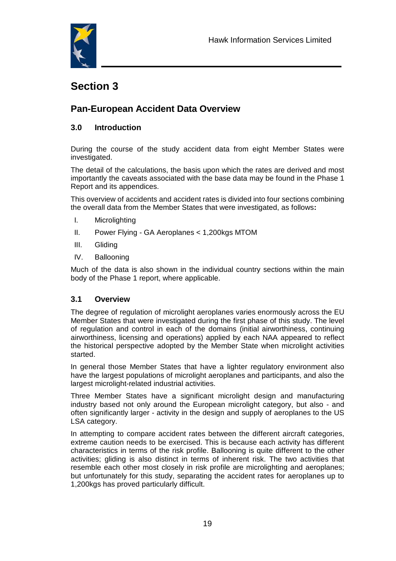

# **Section 3**

# **Pan-European Accident Data Overview**

## **3.0 Introduction**

During the course of the study accident data from eight Member States were investigated.

The detail of the calculations, the basis upon which the rates are derived and most importantly the caveats associated with the base data may be found in the Phase 1 Report and its appendices.

This overview of accidents and accident rates is divided into four sections combining the overall data from the Member States that were investigated, as follows**:**

- I. Microlighting
- II. Power Flying GA Aeroplanes < 1,200kgs MTOM
- III. Gliding
- IV. Ballooning

Much of the data is also shown in the individual country sections within the main body of the Phase 1 report, where applicable.

#### **3.1 Overview**

The degree of regulation of microlight aeroplanes varies enormously across the EU Member States that were investigated during the first phase of this study. The level of regulation and control in each of the domains (initial airworthiness, continuing airworthiness, licensing and operations) applied by each NAA appeared to reflect the historical perspective adopted by the Member State when microlight activities started.

In general those Member States that have a lighter regulatory environment also have the largest populations of microlight aeroplanes and participants, and also the largest microlight-related industrial activities.

Three Member States have a significant microlight design and manufacturing industry based not only around the European microlight category, but also - and often significantly larger - activity in the design and supply of aeroplanes to the US LSA category.

In attempting to compare accident rates between the different aircraft categories, extreme caution needs to be exercised. This is because each activity has different characteristics in terms of the risk profile. Ballooning is quite different to the other activities; gliding is also distinct in terms of inherent risk. The two activities that resemble each other most closely in risk profile are microlighting and aeroplanes; but unfortunately for this study, separating the accident rates for aeroplanes up to 1,200kgs has proved particularly difficult.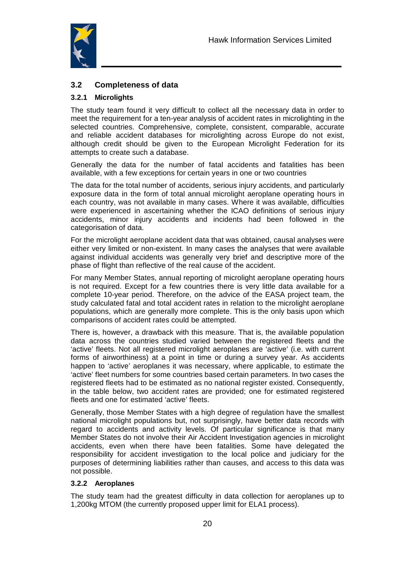

## **3.2 Completeness of data**

#### **3.2.1 Microlights**

The study team found it very difficult to collect all the necessary data in order to meet the requirement for a ten-year analysis of accident rates in microlighting in the selected countries. Comprehensive, complete, consistent, comparable, accurate and reliable accident databases for microlighting across Europe do not exist, although credit should be given to the European Microlight Federation for its attempts to create such a database.

Generally the data for the number of fatal accidents and fatalities has been available, with a few exceptions for certain years in one or two countries

The data for the total number of accidents, serious injury accidents, and particularly exposure data in the form of total annual microlight aeroplane operating hours in each country, was not available in many cases. Where it was available, difficulties were experienced in ascertaining whether the ICAO definitions of serious injury accidents, minor injury accidents and incidents had been followed in the categorisation of data.

For the microlight aeroplane accident data that was obtained, causal analyses were either very limited or non-existent. In many cases the analyses that were available against individual accidents was generally very brief and descriptive more of the phase of flight than reflective of the real cause of the accident.

For many Member States, annual reporting of microlight aeroplane operating hours is not required. Except for a few countries there is very little data available for a complete 10-year period. Therefore, on the advice of the EASA project team, the study calculated fatal and total accident rates in relation to the microlight aeroplane populations, which are generally more complete. This is the only basis upon which comparisons of accident rates could be attempted.

There is, however, a drawback with this measure. That is, the available population data across the countries studied varied between the registered fleets and the 'active' fleets. Not all registered microlight aeroplanes are 'active' (i.e. with current forms of airworthiness) at a point in time or during a survey year. As accidents happen to 'active' aeroplanes it was necessary, where applicable, to estimate the 'active' fleet numbers for some countries based certain parameters. In two cases the registered fleets had to be estimated as no national register existed. Consequently, in the table below, two accident rates are provided; one for estimated registered fleets and one for estimated 'active' fleets.

Generally, those Member States with a high degree of regulation have the smallest national microlight populations but, not surprisingly, have better data records with regard to accidents and activity levels. Of particular significance is that many Member States do not involve their Air Accident Investigation agencies in microlight accidents, even when there have been fatalities. Some have delegated the responsibility for accident investigation to the local police and judiciary for the purposes of determining liabilities rather than causes, and access to this data was not possible.

#### **3.2.2 Aeroplanes**

The study team had the greatest difficulty in data collection for aeroplanes up to 1,200kg MTOM (the currently proposed upper limit for ELA1 process).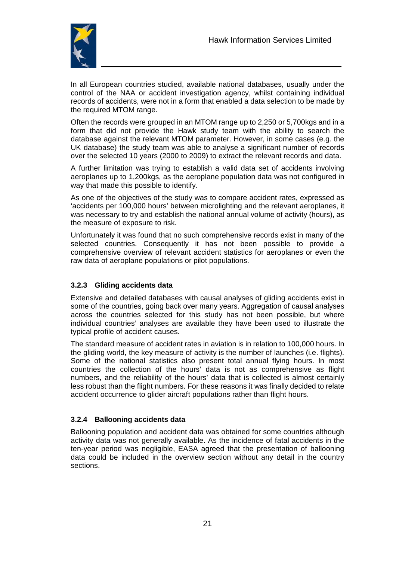

In all European countries studied, available national databases, usually under the control of the NAA or accident investigation agency, whilst containing individual records of accidents, were not in a form that enabled a data selection to be made by the required MTOM range.

Often the records were grouped in an MTOM range up to 2,250 or 5,700kgs and in a form that did not provide the Hawk study team with the ability to search the database against the relevant MTOM parameter. However, in some cases (e.g. the UK database) the study team was able to analyse a significant number of records over the selected 10 years (2000 to 2009) to extract the relevant records and data.

A further limitation was trying to establish a valid data set of accidents involving aeroplanes up to 1,200kgs, as the aeroplane population data was not configured in way that made this possible to identify.

As one of the objectives of the study was to compare accident rates, expressed as 'accidents per 100,000 hours' between microlighting and the relevant aeroplanes, it was necessary to try and establish the national annual volume of activity (hours), as the measure of exposure to risk.

Unfortunately it was found that no such comprehensive records exist in many of the selected countries. Consequently it has not been possible to provide a comprehensive overview of relevant accident statistics for aeroplanes or even the raw data of aeroplane populations or pilot populations.

#### **3.2.3 Gliding accidents data**

Extensive and detailed databases with causal analyses of gliding accidents exist in some of the countries, going back over many years. Aggregation of causal analyses across the countries selected for this study has not been possible, but where individual countries' analyses are available they have been used to illustrate the typical profile of accident causes.

The standard measure of accident rates in aviation is in relation to 100,000 hours. In the gliding world, the key measure of activity is the number of launches (i.e. flights). Some of the national statistics also present total annual flying hours. In most countries the collection of the hours' data is not as comprehensive as flight numbers, and the reliability of the hours' data that is collected is almost certainly less robust than the flight numbers. For these reasons it was finally decided to relate accident occurrence to glider aircraft populations rather than flight hours.

#### **3.2.4 Ballooning accidents data**

Ballooning population and accident data was obtained for some countries although activity data was not generally available. As the incidence of fatal accidents in the ten-year period was negligible, EASA agreed that the presentation of ballooning data could be included in the overview section without any detail in the country sections.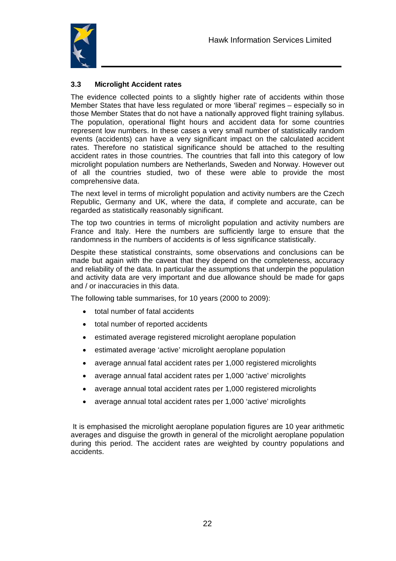

#### **3.3 Microlight Accident rates**

The evidence collected points to a slightly higher rate of accidents within those Member States that have less regulated or more 'liberal' regimes – especially so in those Member States that do not have a nationally approved flight training syllabus. The population, operational flight hours and accident data for some countries represent low numbers. In these cases a very small number of statistically random events (accidents) can have a very significant impact on the calculated accident rates. Therefore no statistical significance should be attached to the resulting accident rates in those countries. The countries that fall into this category of low microlight population numbers are Netherlands, Sweden and Norway. However out of all the countries studied, two of these were able to provide the most comprehensive data.

The next level in terms of microlight population and activity numbers are the Czech Republic, Germany and UK, where the data, if complete and accurate, can be regarded as statistically reasonably significant.

The top two countries in terms of microlight population and activity numbers are France and Italy. Here the numbers are sufficiently large to ensure that the randomness in the numbers of accidents is of less significance statistically.

Despite these statistical constraints, some observations and conclusions can be made but again with the caveat that they depend on the completeness, accuracy and reliability of the data. In particular the assumptions that underpin the population and activity data are very important and due allowance should be made for gaps and / or inaccuracies in this data.

The following table summarises, for 10 years (2000 to 2009):

- total number of fatal accidents
- total number of reported accidents
- estimated average registered microlight aeroplane population
- estimated average 'active' microlight aeroplane population
- average annual fatal accident rates per 1,000 registered microlights
- average annual fatal accident rates per 1,000 'active' microlights
- average annual total accident rates per 1,000 registered microlights
- average annual total accident rates per 1,000 'active' microlights

 It is emphasised the microlight aeroplane population figures are 10 year arithmetic averages and disguise the growth in general of the microlight aeroplane population during this period. The accident rates are weighted by country populations and accidents.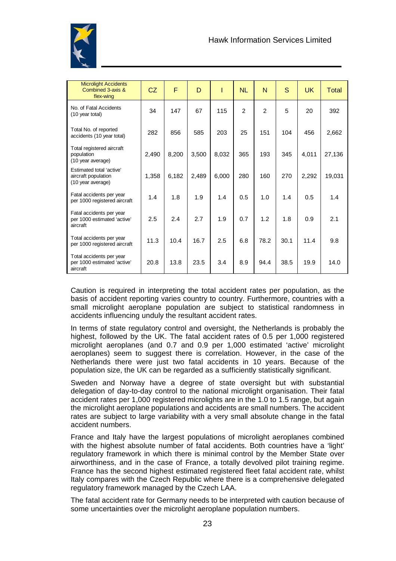

| <b>Microlight Accidents</b><br>Combined 3-axis &<br>flex-wing        | CZ    | F     | D     |       | <b>NL</b>      | N              | S    | UK.   | <b>Total</b> |
|----------------------------------------------------------------------|-------|-------|-------|-------|----------------|----------------|------|-------|--------------|
| No. of Fatal Accidents<br>(10 year total)                            | 34    | 147   | 67    | 115   | $\overline{2}$ | $\overline{2}$ | 5    | 20    | 392          |
| Total No. of reported<br>accidents (10 year total)                   | 282   | 856   | 585   | 203   | 25             | 151            | 104  | 456   | 2,662        |
| Total registered aircraft<br>population<br>(10 year average)         | 2,490 | 8,200 | 3,500 | 8,032 | 365            | 193            | 345  | 4,011 | 27,136       |
| Estimated total 'active'<br>aircraft population<br>(10 year average) | 1,358 | 6,182 | 2,489 | 6,000 | 280            | 160            | 270  | 2,292 | 19,031       |
| Fatal accidents per year<br>per 1000 registered aircraft             | 1.4   | 1.8   | 1.9   | 1.4   | 0.5            | 1.0            | 1.4  | 0.5   | 1.4          |
| Fatal accidents per year<br>per 1000 estimated 'active'<br>aircraft  | 2.5   | 2.4   | 2.7   | 1.9   | 0.7            | 1.2            | 1.8  | 0.9   | 2.1          |
| Total accidents per year<br>per 1000 registered aircraft             | 11.3  | 10.4  | 16.7  | 2.5   | 6.8            | 78.2           | 30.1 | 11.4  | 9.8          |
| Total accidents per year<br>per 1000 estimated 'active'<br>aircraft  | 20.8  | 13.8  | 23.5  | 3.4   | 8.9            | 94.4           | 38.5 | 19.9  | 14.0         |

Caution is required in interpreting the total accident rates per population, as the basis of accident reporting varies country to country. Furthermore, countries with a small microlight aeroplane population are subject to statistical randomness in accidents influencing unduly the resultant accident rates.

In terms of state regulatory control and oversight, the Netherlands is probably the highest, followed by the UK. The fatal accident rates of 0.5 per 1,000 registered microlight aeroplanes (and 0.7 and 0.9 per 1,000 estimated 'active' microlight aeroplanes) seem to suggest there is correlation. However, in the case of the Netherlands there were just two fatal accidents in 10 years. Because of the population size, the UK can be regarded as a sufficiently statistically significant.

Sweden and Norway have a degree of state oversight but with substantial delegation of day-to-day control to the national microlight organisation. Their fatal accident rates per 1,000 registered microlights are in the 1.0 to 1.5 range, but again the microlight aeroplane populations and accidents are small numbers. The accident rates are subject to large variability with a very small absolute change in the fatal accident numbers.

France and Italy have the largest populations of microlight aeroplanes combined with the highest absolute number of fatal accidents. Both countries have a 'light' regulatory framework in which there is minimal control by the Member State over airworthiness, and in the case of France, a totally devolved pilot training regime. France has the second highest estimated registered fleet fatal accident rate, whilst Italy compares with the Czech Republic where there is a comprehensive delegated regulatory framework managed by the Czech LAA.

The fatal accident rate for Germany needs to be interpreted with caution because of some uncertainties over the microlight aeroplane population numbers.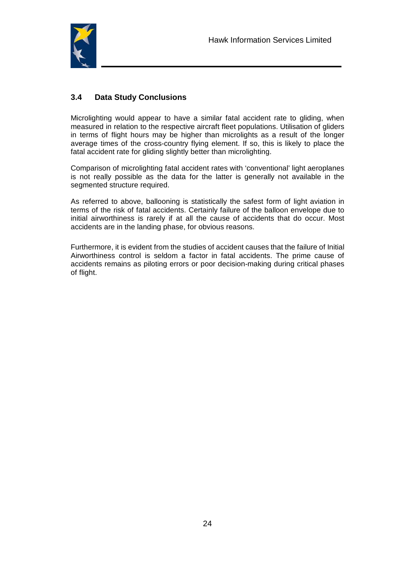

#### **3.4 Data Study Conclusions**

Microlighting would appear to have a similar fatal accident rate to gliding, when measured in relation to the respective aircraft fleet populations. Utilisation of gliders in terms of flight hours may be higher than microlights as a result of the longer average times of the cross-country flying element. If so, this is likely to place the fatal accident rate for gliding slightly better than microlighting.

Comparison of microlighting fatal accident rates with 'conventional' light aeroplanes is not really possible as the data for the latter is generally not available in the segmented structure required.

As referred to above, ballooning is statistically the safest form of light aviation in terms of the risk of fatal accidents. Certainly failure of the balloon envelope due to initial airworthiness is rarely if at all the cause of accidents that do occur. Most accidents are in the landing phase, for obvious reasons.

Furthermore, it is evident from the studies of accident causes that the failure of Initial Airworthiness control is seldom a factor in fatal accidents. The prime cause of accidents remains as piloting errors or poor decision-making during critical phases of flight.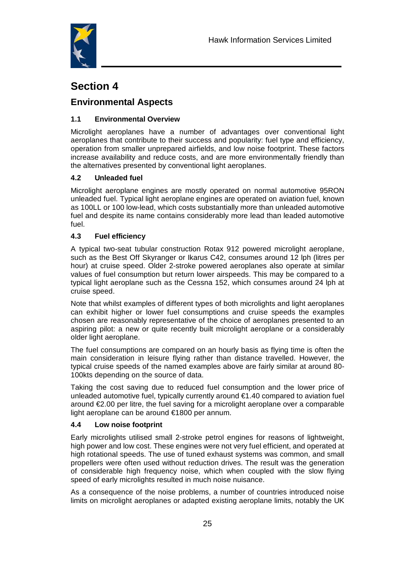

# **Section 4**

# **Environmental Aspects**

## **1.1 Environmental Overview**

Microlight aeroplanes have a number of advantages over conventional light aeroplanes that contribute to their success and popularity: fuel type and efficiency, operation from smaller unprepared airfields, and low noise footprint. These factors increase availability and reduce costs, and are more environmentally friendly than the alternatives presented by conventional light aeroplanes.

## **4.2 Unleaded fuel**

Microlight aeroplane engines are mostly operated on normal automotive 95RON unleaded fuel. Typical light aeroplane engines are operated on aviation fuel, known as 100LL or 100 low-lead, which costs substantially more than unleaded automotive fuel and despite its name contains considerably more lead than leaded automotive fuel.

#### **4.3 Fuel efficiency**

A typical two-seat tubular construction Rotax 912 powered microlight aeroplane, such as the Best Off Skyranger or Ikarus C42, consumes around 12 lph (litres per hour) at cruise speed. Older 2-stroke powered aeroplanes also operate at similar values of fuel consumption but return lower airspeeds. This may be compared to a typical light aeroplane such as the Cessna 152, which consumes around 24 lph at cruise speed.

Note that whilst examples of different types of both microlights and light aeroplanes can exhibit higher or lower fuel consumptions and cruise speeds the examples chosen are reasonably representative of the choice of aeroplanes presented to an aspiring pilot: a new or quite recently built microlight aeroplane or a considerably older light aeroplane.

The fuel consumptions are compared on an hourly basis as flying time is often the main consideration in leisure flying rather than distance travelled. However, the typical cruise speeds of the named examples above are fairly similar at around 80- 100kts depending on the source of data.

Taking the cost saving due to reduced fuel consumption and the lower price of unleaded automotive fuel, typically currently around €1.40 compared to aviation fuel around €2.00 per litre, the fuel saving for a microlight aeroplane over a comparable light aeroplane can be around €1800 per annum.

#### **4.4 Low noise footprint**

Early microlights utilised small 2-stroke petrol engines for reasons of lightweight, high power and low cost. These engines were not very fuel efficient, and operated at high rotational speeds. The use of tuned exhaust systems was common, and small propellers were often used without reduction drives. The result was the generation of considerable high frequency noise, which when coupled with the slow flying speed of early microlights resulted in much noise nuisance.

As a consequence of the noise problems, a number of countries introduced noise limits on microlight aeroplanes or adapted existing aeroplane limits, notably the UK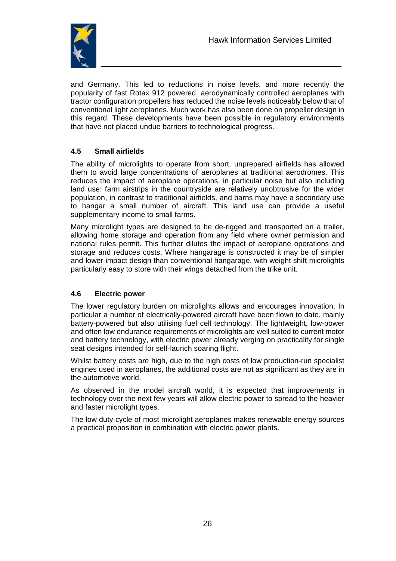

and Germany. This led to reductions in noise levels, and more recently the popularity of fast Rotax 912 powered, aerodynamically controlled aeroplanes with tractor configuration propellers has reduced the noise levels noticeably below that of conventional light aeroplanes. Much work has also been done on propeller design in this regard. These developments have been possible in regulatory environments that have not placed undue barriers to technological progress.

#### **4.5 Small airfields**

The ability of microlights to operate from short, unprepared airfields has allowed them to avoid large concentrations of aeroplanes at traditional aerodromes. This reduces the impact of aeroplane operations, in particular noise but also including land use: farm airstrips in the countryside are relatively unobtrusive for the wider population, in contrast to traditional airfields, and barns may have a secondary use to hangar a small number of aircraft. This land use can provide a useful supplementary income to small farms.

Many microlight types are designed to be de-rigged and transported on a trailer, allowing home storage and operation from any field where owner permission and national rules permit. This further dilutes the impact of aeroplane operations and storage and reduces costs. Where hangarage is constructed it may be of simpler and lower-impact design than conventional hangarage, with weight shift microlights particularly easy to store with their wings detached from the trike unit.

#### **4.6 Electric power**

The lower regulatory burden on microlights allows and encourages innovation. In particular a number of electrically-powered aircraft have been flown to date, mainly battery-powered but also utilising fuel cell technology. The lightweight, low-power and often low endurance requirements of microlights are well suited to current motor and battery technology, with electric power already verging on practicality for single seat designs intended for self-launch soaring flight.

Whilst battery costs are high, due to the high costs of low production-run specialist engines used in aeroplanes, the additional costs are not as significant as they are in the automotive world.

As observed in the model aircraft world, it is expected that improvements in technology over the next few years will allow electric power to spread to the heavier and faster microlight types.

The low duty-cycle of most microlight aeroplanes makes renewable energy sources a practical proposition in combination with electric power plants.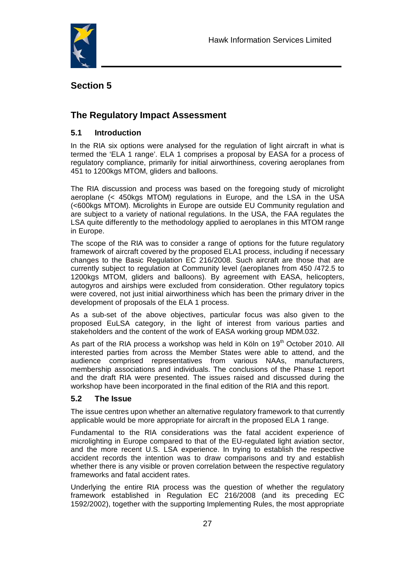

# **Section 5**

# **The Regulatory Impact Assessment**

#### **5.1 Introduction**

In the RIA six options were analysed for the regulation of light aircraft in what is termed the 'ELA 1 range'. ELA 1 comprises a proposal by EASA for a process of regulatory compliance, primarily for initial airworthiness, covering aeroplanes from 451 to 1200kgs MTOM, gliders and balloons.

The RIA discussion and process was based on the foregoing study of microlight aeroplane (< 450kgs MTOM) regulations in Europe, and the LSA in the USA (<600kgs MTOM). Microlights in Europe are outside EU Community regulation and are subject to a variety of national regulations. In the USA, the FAA regulates the LSA quite differently to the methodology applied to aeroplanes in this MTOM range in Europe.

The scope of the RIA was to consider a range of options for the future regulatory framework of aircraft covered by the proposed ELA1 process, including if necessary changes to the Basic Regulation EC 216/2008. Such aircraft are those that are currently subject to regulation at Community level (aeroplanes from 450 /472.5 to 1200kgs MTOM, gliders and balloons). By agreement with EASA, helicopters, autogyros and airships were excluded from consideration. Other regulatory topics were covered, not just initial airworthiness which has been the primary driver in the development of proposals of the ELA 1 process.

As a sub-set of the above objectives, particular focus was also given to the proposed EuLSA category, in the light of interest from various parties and stakeholders and the content of the work of EASA working group MDM.032.

As part of the RIA process a workshop was held in Köln on  $19<sup>th</sup>$  October 2010. All interested parties from across the Member States were able to attend, and the audience comprised representatives from various NAAs, manufacturers, membership associations and individuals. The conclusions of the Phase 1 report and the draft RIA were presented. The issues raised and discussed during the workshop have been incorporated in the final edition of the RIA and this report.

#### **5.2 The Issue**

The issue centres upon whether an alternative regulatory framework to that currently applicable would be more appropriate for aircraft in the proposed ELA 1 range.

Fundamental to the RIA considerations was the fatal accident experience of microlighting in Europe compared to that of the EU-regulated light aviation sector, and the more recent U.S. LSA experience. In trying to establish the respective accident records the intention was to draw comparisons and try and establish whether there is any visible or proven correlation between the respective regulatory frameworks and fatal accident rates.

Underlying the entire RIA process was the question of whether the regulatory framework established in Regulation EC 216/2008 (and its preceding EC 1592/2002), together with the supporting Implementing Rules, the most appropriate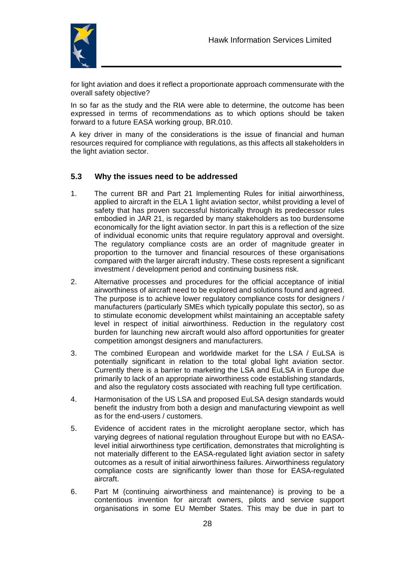

for light aviation and does it reflect a proportionate approach commensurate with the overall safety objective?

In so far as the study and the RIA were able to determine, the outcome has been expressed in terms of recommendations as to which options should be taken forward to a future EASA working group, BR.010.

A key driver in many of the considerations is the issue of financial and human resources required for compliance with regulations, as this affects all stakeholders in the light aviation sector.

#### **5.3 Why the issues need to be addressed**

- 1. The current BR and Part 21 Implementing Rules for initial airworthiness, applied to aircraft in the ELA 1 light aviation sector, whilst providing a level of safety that has proven successful historically through its predecessor rules embodied in JAR 21, is regarded by many stakeholders as too burdensome economically for the light aviation sector. In part this is a reflection of the size of individual economic units that require regulatory approval and oversight. The regulatory compliance costs are an order of magnitude greater in proportion to the turnover and financial resources of these organisations compared with the larger aircraft industry. These costs represent a significant investment / development period and continuing business risk.
- 2. Alternative processes and procedures for the official acceptance of initial airworthiness of aircraft need to be explored and solutions found and agreed. The purpose is to achieve lower regulatory compliance costs for designers / manufacturers (particularly SMEs which typically populate this sector), so as to stimulate economic development whilst maintaining an acceptable safety level in respect of initial airworthiness. Reduction in the regulatory cost burden for launching new aircraft would also afford opportunities for greater competition amongst designers and manufacturers.
- 3. The combined European and worldwide market for the LSA / EuLSA is potentially significant in relation to the total global light aviation sector. Currently there is a barrier to marketing the LSA and EuLSA in Europe due primarily to lack of an appropriate airworthiness code establishing standards, and also the regulatory costs associated with reaching full type certification.
- 4. Harmonisation of the US LSA and proposed EuLSA design standards would benefit the industry from both a design and manufacturing viewpoint as well as for the end-users / customers.
- 5. Evidence of accident rates in the microlight aeroplane sector, which has varying degrees of national regulation throughout Europe but with no EASAlevel initial airworthiness type certification, demonstrates that microlighting is not materially different to the EASA-regulated light aviation sector in safety outcomes as a result of initial airworthiness failures. Airworthiness regulatory compliance costs are significantly lower than those for EASA-regulated aircraft.
- 6. Part M (continuing airworthiness and maintenance) is proving to be a contentious invention for aircraft owners, pilots and service support organisations in some EU Member States. This may be due in part to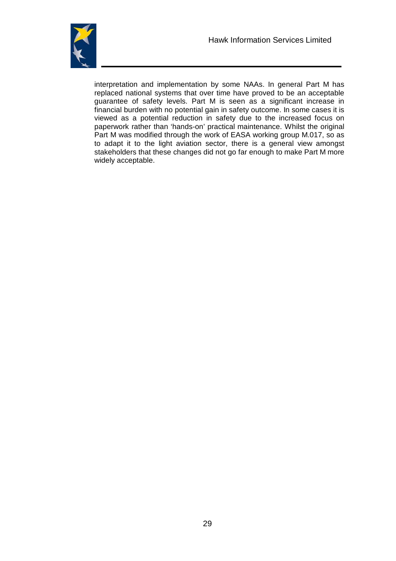

interpretation and implementation by some NAAs. In general Part M has replaced national systems that over time have proved to be an acceptable guarantee of safety levels. Part M is seen as a significant increase in financial burden with no potential gain in safety outcome. In some cases it is viewed as a potential reduction in safety due to the increased focus on paperwork rather than 'hands-on' practical maintenance. Whilst the original Part M was modified through the work of EASA working group M.017, so as to adapt it to the light aviation sector, there is a general view amongst stakeholders that these changes did not go far enough to make Part M more widely acceptable.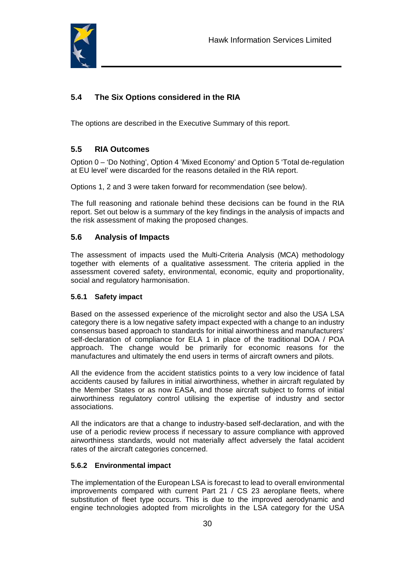

# **5.4 The Six Options considered in the RIA**

The options are described in the Executive Summary of this report.

## **5.5 RIA Outcomes**

Option 0 – 'Do Nothing', Option 4 'Mixed Economy' and Option 5 'Total de-regulation at EU level' were discarded for the reasons detailed in the RIA report.

Options 1, 2 and 3 were taken forward for recommendation (see below).

The full reasoning and rationale behind these decisions can be found in the RIA report. Set out below is a summary of the key findings in the analysis of impacts and the risk assessment of making the proposed changes.

#### **5.6 Analysis of Impacts**

The assessment of impacts used the Multi-Criteria Analysis (MCA) methodology together with elements of a qualitative assessment. The criteria applied in the assessment covered safety, environmental, economic, equity and proportionality, social and regulatory harmonisation.

#### **5.6.1 Safety impact**

Based on the assessed experience of the microlight sector and also the USA LSA category there is a low negative safety impact expected with a change to an industry consensus based approach to standards for initial airworthiness and manufacturers' self-declaration of compliance for ELA 1 in place of the traditional DOA / POA approach. The change would be primarily for economic reasons for the manufactures and ultimately the end users in terms of aircraft owners and pilots.

All the evidence from the accident statistics points to a very low incidence of fatal accidents caused by failures in initial airworthiness, whether in aircraft regulated by the Member States or as now EASA, and those aircraft subject to forms of initial airworthiness regulatory control utilising the expertise of industry and sector associations.

All the indicators are that a change to industry-based self-declaration, and with the use of a periodic review process if necessary to assure compliance with approved airworthiness standards, would not materially affect adversely the fatal accident rates of the aircraft categories concerned.

#### **5.6.2 Environmental impact**

The implementation of the European LSA is forecast to lead to overall environmental improvements compared with current Part 21 / CS 23 aeroplane fleets, where substitution of fleet type occurs. This is due to the improved aerodynamic and engine technologies adopted from microlights in the LSA category for the USA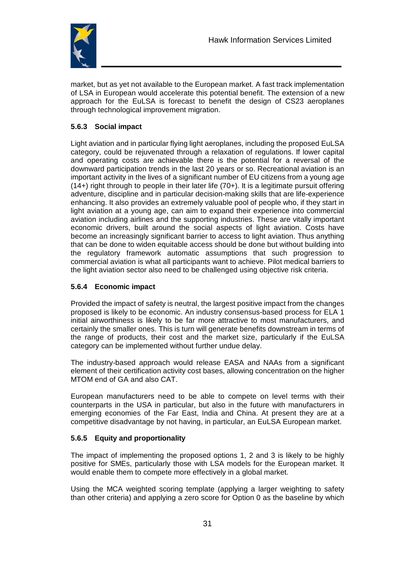

market, but as yet not available to the European market. A fast track implementation of LSA in European would accelerate this potential benefit. The extension of a new approach for the EuLSA is forecast to benefit the design of CS23 aeroplanes through technological improvement migration.

#### **5.6.3 Social impact**

Light aviation and in particular flying light aeroplanes, including the proposed EuLSA category, could be rejuvenated through a relaxation of regulations. If lower capital and operating costs are achievable there is the potential for a reversal of the downward participation trends in the last 20 years or so. Recreational aviation is an important activity in the lives of a significant number of EU citizens from a young age (14+) right through to people in their later life (70+). It is a legitimate pursuit offering adventure, discipline and in particular decision-making skills that are life-experience enhancing. It also provides an extremely valuable pool of people who, if they start in light aviation at a young age, can aim to expand their experience into commercial aviation including airlines and the supporting industries. These are vitally important economic drivers, built around the social aspects of light aviation. Costs have become an increasingly significant barrier to access to light aviation. Thus anything that can be done to widen equitable access should be done but without building into the regulatory framework automatic assumptions that such progression to commercial aviation is what all participants want to achieve. Pilot medical barriers to the light aviation sector also need to be challenged using objective risk criteria.

#### **5.6.4 Economic impact**

Provided the impact of safety is neutral, the largest positive impact from the changes proposed is likely to be economic. An industry consensus-based process for ELA 1 initial airworthiness is likely to be far more attractive to most manufacturers, and certainly the smaller ones. This is turn will generate benefits downstream in terms of the range of products, their cost and the market size, particularly if the EuLSA category can be implemented without further undue delay.

The industry-based approach would release EASA and NAAs from a significant element of their certification activity cost bases, allowing concentration on the higher MTOM end of GA and also CAT.

European manufacturers need to be able to compete on level terms with their counterparts in the USA in particular, but also in the future with manufacturers in emerging economies of the Far East, India and China. At present they are at a competitive disadvantage by not having, in particular, an EuLSA European market.

#### **5.6.5 Equity and proportionality**

The impact of implementing the proposed options 1, 2 and 3 is likely to be highly positive for SMEs, particularly those with LSA models for the European market. It would enable them to compete more effectively in a global market.

Using the MCA weighted scoring template (applying a larger weighting to safety than other criteria) and applying a zero score for Option 0 as the baseline by which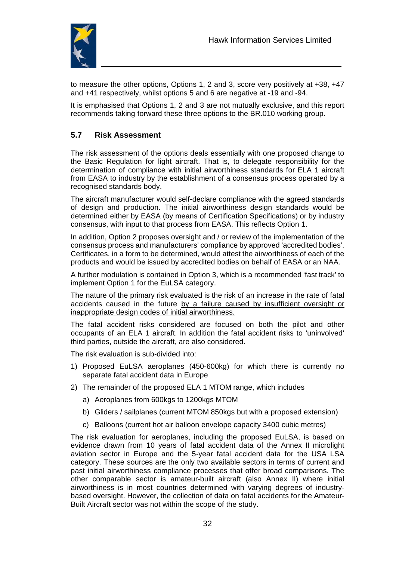

to measure the other options, Options 1, 2 and 3, score very positively at +38, +47 and +41 respectively, whilst options 5 and 6 are negative at -19 and -94.

It is emphasised that Options 1, 2 and 3 are not mutually exclusive, and this report recommends taking forward these three options to the BR.010 working group.

## **5.7 Risk Assessment**

The risk assessment of the options deals essentially with one proposed change to the Basic Regulation for light aircraft. That is, to delegate responsibility for the determination of compliance with initial airworthiness standards for ELA 1 aircraft from EASA to industry by the establishment of a consensus process operated by a recognised standards body.

The aircraft manufacturer would self-declare compliance with the agreed standards of design and production. The initial airworthiness design standards would be determined either by EASA (by means of Certification Specifications) or by industry consensus, with input to that process from EASA. This reflects Option 1.

In addition, Option 2 proposes oversight and / or review of the implementation of the consensus process and manufacturers' compliance by approved 'accredited bodies'. Certificates, in a form to be determined, would attest the airworthiness of each of the products and would be issued by accredited bodies on behalf of EASA or an NAA.

A further modulation is contained in Option 3, which is a recommended 'fast track' to implement Option 1 for the EuLSA category.

The nature of the primary risk evaluated is the risk of an increase in the rate of fatal accidents caused in the future by a failure caused by insufficient oversight or inappropriate design codes of initial airworthiness.

The fatal accident risks considered are focused on both the pilot and other occupants of an ELA 1 aircraft. In addition the fatal accident risks to 'uninvolved' third parties, outside the aircraft, are also considered.

The risk evaluation is sub-divided into:

- 1) Proposed EuLSA aeroplanes (450-600kg) for which there is currently no separate fatal accident data in Europe
- 2) The remainder of the proposed ELA 1 MTOM range, which includes
	- a) Aeroplanes from 600kgs to 1200kgs MTOM
	- b) Gliders / sailplanes (current MTOM 850kgs but with a proposed extension)
	- c) Balloons (current hot air balloon envelope capacity 3400 cubic metres)

The risk evaluation for aeroplanes, including the proposed EuLSA, is based on evidence drawn from 10 years of fatal accident data of the Annex II microlight aviation sector in Europe and the 5-year fatal accident data for the USA LSA category. These sources are the only two available sectors in terms of current and past initial airworthiness compliance processes that offer broad comparisons. The other comparable sector is amateur-built aircraft (also Annex II) where initial airworthiness is in most countries determined with varying degrees of industrybased oversight. However, the collection of data on fatal accidents for the Amateur-Built Aircraft sector was not within the scope of the study.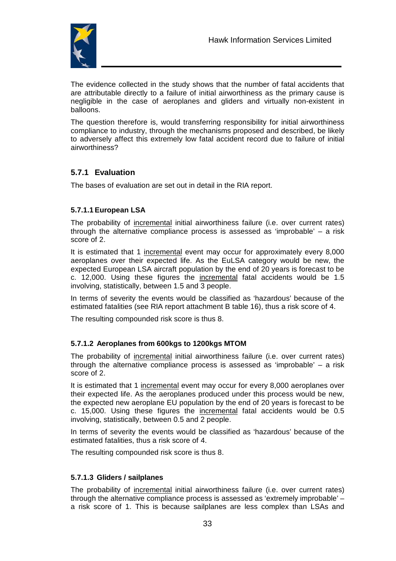

The evidence collected in the study shows that the number of fatal accidents that are attributable directly to a failure of initial airworthiness as the primary cause is negligible in the case of aeroplanes and gliders and virtually non-existent in balloons.

The question therefore is, would transferring responsibility for initial airworthiness compliance to industry, through the mechanisms proposed and described, be likely to adversely affect this extremely low fatal accident record due to failure of initial airworthiness?

## **5.7.1 Evaluation**

The bases of evaluation are set out in detail in the RIA report.

#### **5.7.1.1European LSA**

The probability of incremental initial airworthiness failure (i.e. over current rates) through the alternative compliance process is assessed as 'improbable' – a risk score of 2.

It is estimated that 1 incremental event may occur for approximately every 8,000 aeroplanes over their expected life. As the EuLSA category would be new, the expected European LSA aircraft population by the end of 20 years is forecast to be c. 12,000. Using these figures the incremental fatal accidents would be 1.5 involving, statistically, between 1.5 and 3 people.

In terms of severity the events would be classified as 'hazardous' because of the estimated fatalities (see RIA report attachment B table 16), thus a risk score of 4.

The resulting compounded risk score is thus 8.

#### **5.7.1.2 Aeroplanes from 600kgs to 1200kgs MTOM**

The probability of incremental initial airworthiness failure (i.e. over current rates) through the alternative compliance process is assessed as 'improbable' – a risk score of 2.

It is estimated that 1 incremental event may occur for every 8,000 aeroplanes over their expected life. As the aeroplanes produced under this process would be new, the expected new aeroplane EU population by the end of 20 years is forecast to be c. 15,000. Using these figures the incremental fatal accidents would be 0.5 involving, statistically, between 0.5 and 2 people.

In terms of severity the events would be classified as 'hazardous' because of the estimated fatalities, thus a risk score of 4.

The resulting compounded risk score is thus 8.

#### **5.7.1.3 Gliders / sailplanes**

The probability of incremental initial airworthiness failure (i.e. over current rates) through the alternative compliance process is assessed as 'extremely improbable' – a risk score of 1. This is because sailplanes are less complex than LSAs and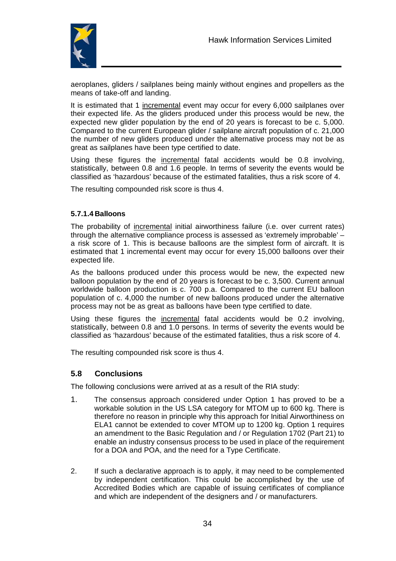

aeroplanes, gliders / sailplanes being mainly without engines and propellers as the means of take-off and landing.

It is estimated that 1 incremental event may occur for every 6,000 sailplanes over their expected life. As the gliders produced under this process would be new, the expected new glider population by the end of 20 years is forecast to be c. 5,000. Compared to the current European glider / sailplane aircraft population of c. 21,000 the number of new gliders produced under the alternative process may not be as great as sailplanes have been type certified to date.

Using these figures the incremental fatal accidents would be 0.8 involving, statistically, between 0.8 and 1.6 people. In terms of severity the events would be classified as 'hazardous' because of the estimated fatalities, thus a risk score of 4.

The resulting compounded risk score is thus 4.

#### **5.7.1.4 Balloons**

The probability of incremental initial airworthiness failure (i.e. over current rates) through the alternative compliance process is assessed as 'extremely improbable' – a risk score of 1. This is because balloons are the simplest form of aircraft. It is estimated that 1 incremental event may occur for every 15,000 balloons over their expected life.

As the balloons produced under this process would be new, the expected new balloon population by the end of 20 years is forecast to be c. 3,500. Current annual worldwide balloon production is c. 700 p.a. Compared to the current EU balloon population of c. 4,000 the number of new balloons produced under the alternative process may not be as great as balloons have been type certified to date.

Using these figures the incremental fatal accidents would be 0.2 involving, statistically, between 0.8 and 1.0 persons. In terms of severity the events would be classified as 'hazardous' because of the estimated fatalities, thus a risk score of 4.

The resulting compounded risk score is thus 4.

#### **5.8 Conclusions**

The following conclusions were arrived at as a result of the RIA study:

- 1. The consensus approach considered under Option 1 has proved to be a workable solution in the US LSA category for MTOM up to 600 kg. There is therefore no reason in principle why this approach for Initial Airworthiness on ELA1 cannot be extended to cover MTOM up to 1200 kg. Option 1 requires an amendment to the Basic Regulation and / or Regulation 1702 (Part 21) to enable an industry consensus process to be used in place of the requirement for a DOA and POA, and the need for a Type Certificate.
- 2. If such a declarative approach is to apply, it may need to be complemented by independent certification. This could be accomplished by the use of Accredited Bodies which are capable of issuing certificates of compliance and which are independent of the designers and / or manufacturers.